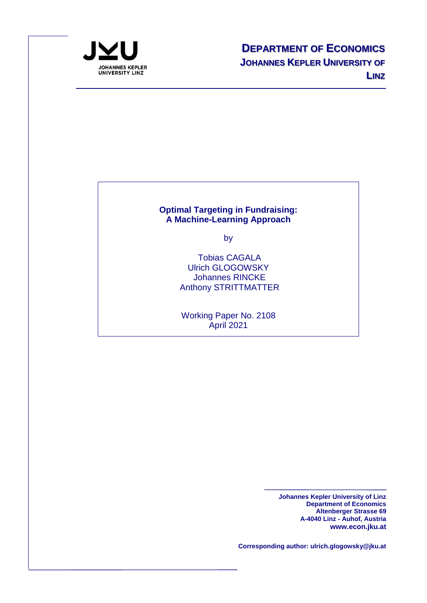

#### **[Optimal Targeting in Fundraising:](http://www.economics.jku.at/papers/2021/wp2108.pdf)  [A Machine-Learning Approach](http://www.economics.jku.at/papers/2021/wp2108.pdf)**

by

Tobias CAGALA Ulrich GLOGOWSKY Johannes RINCKE Anthony STRITTMATTER

Working Paper No. 2108 April 2021

> **Johannes Kepler University of Linz Department of Economics Altenberger Strasse 69 A-4040 Linz - Auhof, Austria www.econ.jku.at**

**Corresponding author: ulrich.glogowsky@jku.at**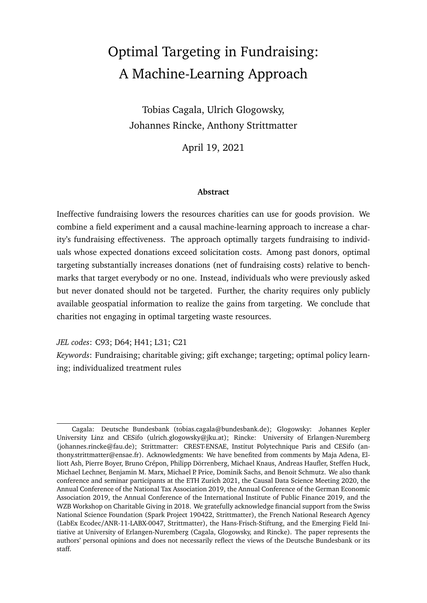# Optimal Targeting in Fundraising: A Machine-Learning Approach

Tobias Cagala, Ulrich Glogowsky, Johannes Rincke, Anthony Strittmatter

April 19, 2021

#### **Abstract**

Ineffective fundraising lowers the resources charities can use for goods provision. We combine a field experiment and a causal machine-learning approach to increase a charity's fundraising effectiveness. The approach optimally targets fundraising to individuals whose expected donations exceed solicitation costs. Among past donors, optimal targeting substantially increases donations (net of fundraising costs) relative to benchmarks that target everybody or no one. Instead, individuals who were previously asked but never donated should not be targeted. Further, the charity requires only publicly available geospatial information to realize the gains from targeting. We conclude that charities not engaging in optimal targeting waste resources.

*JEL codes*: C93; D64; H41; L31; C21

*Keywords*: Fundraising; charitable giving; gift exchange; targeting; optimal policy learning; individualized treatment rules

Cagala: Deutsche Bundesbank (tobias.cagala@bundesbank.de); Glogowsky: Johannes Kepler University Linz and CESifo (ulrich.glogowsky@jku.at); Rincke: University of Erlangen-Nuremberg (johannes.rincke@fau.de); Strittmatter: CREST-ENSAE, Institut Polytechnique Paris and CESifo (anthony.strittmatter@ensae.fr). Acknowledgments: We have benefited from comments by Maja Adena, Elliott Ash, Pierre Boyer, Bruno Crépon, Philipp Dörrenberg, Michael Knaus, Andreas Haufler, Steffen Huck, Michael Lechner, Benjamin M. Marx, Michael P. Price, Dominik Sachs, and Benoit Schmutz. We also thank conference and seminar participants at the ETH Zurich 2021, the Causal Data Science Meeting 2020, the Annual Conference of the National Tax Association 2019, the Annual Conference of the German Economic Association 2019, the Annual Conference of the International Institute of Public Finance 2019, and the WZB Workshop on Charitable Giving in 2018. We gratefully acknowledge financial support from the Swiss National Science Foundation (Spark Project 190422, Strittmatter), the French National Research Agency (LabEx Ecodec/ANR-11-LABX-0047, Strittmatter), the Hans-Frisch-Stiftung, and the Emerging Field Initiative at University of Erlangen-Nuremberg (Cagala, Glogowsky, and Rincke). The paper represents the authors' personal opinions and does not necessarily reflect the views of the Deutsche Bundesbank or its staff.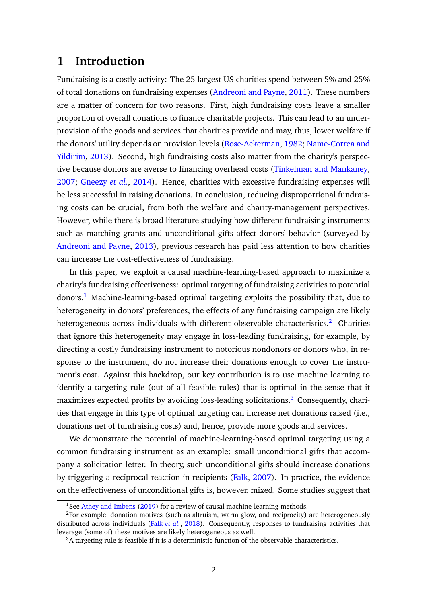## <span id="page-2-3"></span>**1 Introduction**

Fundraising is a costly activity: The 25 largest US charities spend between 5% and 25% of total donations on fundraising expenses [\(Andreoni and Payne,](#page-33-0) [2011\)](#page-33-0). These numbers are a matter of concern for two reasons. First, high fundraising costs leave a smaller proportion of overall donations to finance charitable projects. This can lead to an underprovision of the goods and services that charities provide and may, thus, lower welfare if the donors' utility depends on provision levels [\(Rose-Ackerman,](#page-37-0) [1982;](#page-37-0) [Name-Correa and](#page-36-0) [Yildirim,](#page-36-0) [2013\)](#page-36-0). Second, high fundraising costs also matter from the charity's perspective because donors are averse to financing overhead costs [\(Tinkelman and Mankaney,](#page-37-1) [2007;](#page-37-1) [Gneezy](#page-35-0) *et al.*, [2014\)](#page-35-0). Hence, charities with excessive fundraising expenses will be less successful in raising donations. In conclusion, reducing disproportional fundraising costs can be crucial, from both the welfare and charity-management perspectives. However, while there is broad literature studying how different fundraising instruments such as matching grants and unconditional gifts affect donors' behavior (surveyed by [Andreoni and Payne,](#page-33-1) [2013\)](#page-33-1), previous research has paid less attention to how charities can increase the cost-effectiveness of fundraising.

In this paper, we exploit a causal machine-learning-based approach to maximize a charity's fundraising effectiveness: optimal targeting of fundraising activities to potential donors.[1](#page-2-0) Machine-learning-based optimal targeting exploits the possibility that, due to heterogeneity in donors' preferences, the effects of any fundraising campaign are likely heterogeneous across individuals with different observable characteristics. $2$  Charities that ignore this heterogeneity may engage in loss-leading fundraising, for example, by directing a costly fundraising instrument to notorious nondonors or donors who, in response to the instrument, do not increase their donations enough to cover the instrument's cost. Against this backdrop, our key contribution is to use machine learning to identify a targeting rule (out of all feasible rules) that is optimal in the sense that it maximizes expected profits by avoiding loss-leading solicitations.<sup>[3](#page-2-2)</sup> Consequently, charities that engage in this type of optimal targeting can increase net donations raised (i.e., donations net of fundraising costs) and, hence, provide more goods and services.

We demonstrate the potential of machine-learning-based optimal targeting using a common fundraising instrument as an example: small unconditional gifts that accompany a solicitation letter. In theory, such unconditional gifts should increase donations by triggering a reciprocal reaction in recipients [\(Falk,](#page-34-0) [2007\)](#page-34-0). In practice, the evidence on the effectiveness of unconditional gifts is, however, mixed. Some studies suggest that

<span id="page-2-1"></span><span id="page-2-0"></span><sup>&</sup>lt;sup>1</sup>See [Athey and Imbens](#page-33-2) [\(2019\)](#page-33-2) for a review of causal machine-learning methods.

 $2$ For example, donation motives (such as altruism, warm glow, and reciprocity) are heterogeneously distributed across individuals (Falk *[et al.](#page-34-1)*, [2018\)](#page-34-1). Consequently, responses to fundraising activities that leverage (some of) these motives are likely heterogeneous as well.

<span id="page-2-2"></span> $3A$  targeting rule is feasible if it is a deterministic function of the observable characteristics.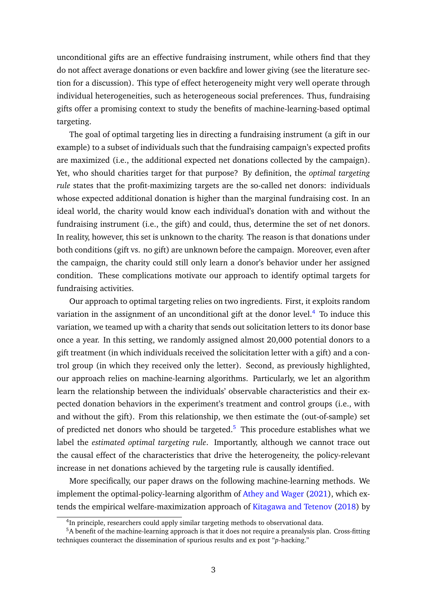unconditional gifts are an effective fundraising instrument, while others find that they do not affect average donations or even backfire and lower giving (see the literature section for a discussion). This type of effect heterogeneity might very well operate through individual heterogeneities, such as heterogeneous social preferences. Thus, fundraising gifts offer a promising context to study the benefits of machine-learning-based optimal targeting.

The goal of optimal targeting lies in directing a fundraising instrument (a gift in our example) to a subset of individuals such that the fundraising campaign's expected profits are maximized (i.e., the additional expected net donations collected by the campaign). Yet, who should charities target for that purpose? By definition, the *optimal targeting rule* states that the profit-maximizing targets are the so-called net donors: individuals whose expected additional donation is higher than the marginal fundraising cost. In an ideal world, the charity would know each individual's donation with and without the fundraising instrument (i.e., the gift) and could, thus, determine the set of net donors. In reality, however, this set is unknown to the charity. The reason is that donations under both conditions (gift vs. no gift) are unknown before the campaign. Moreover, even after the campaign, the charity could still only learn a donor's behavior under her assigned condition. These complications motivate our approach to identify optimal targets for fundraising activities.

Our approach to optimal targeting relies on two ingredients. First, it exploits random variation in the assignment of an unconditional gift at the donor level.<sup>[4](#page-3-0)</sup> To induce this variation, we teamed up with a charity that sends out solicitation letters to its donor base once a year. In this setting, we randomly assigned almost 20,000 potential donors to a gift treatment (in which individuals received the solicitation letter with a gift) and a control group (in which they received only the letter). Second, as previously highlighted, our approach relies on machine-learning algorithms. Particularly, we let an algorithm learn the relationship between the individuals' observable characteristics and their expected donation behaviors in the experiment's treatment and control groups (i.e., with and without the gift). From this relationship, we then estimate the (out-of-sample) set of predicted net donors who should be targeted.<sup>[5](#page-3-1)</sup> This procedure establishes what we label the *estimated optimal targeting rule*. Importantly, although we cannot trace out the causal effect of the characteristics that drive the heterogeneity, the policy-relevant increase in net donations achieved by the targeting rule is causally identified.

More specifically, our paper draws on the following machine-learning methods. We implement the optimal-policy-learning algorithm of [Athey and Wager](#page-33-3) [\(2021\)](#page-33-3), which extends the empirical welfare-maximization approach of [Kitagawa and Tetenov](#page-35-1) [\(2018\)](#page-35-1) by

<span id="page-3-1"></span><span id="page-3-0"></span><sup>&</sup>lt;sup>4</sup>In principle, researchers could apply similar targeting methods to observational data.

<sup>&</sup>lt;sup>5</sup>A benefit of the machine-learning approach is that it does not require a preanalysis plan. Cross-fitting techniques counteract the dissemination of spurious results and ex post "*p*-hacking."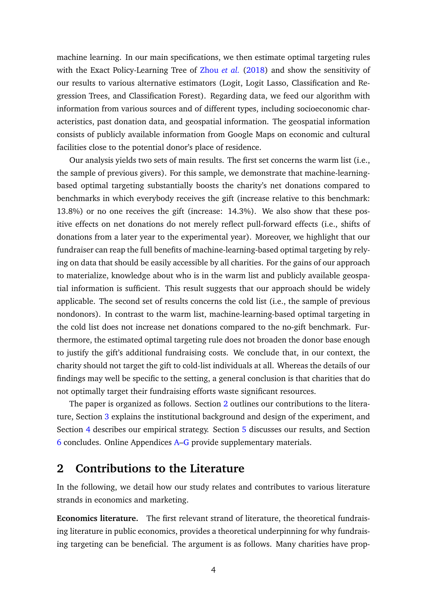machine learning. In our main specifications, we then estimate optimal targeting rules with the Exact Policy-Learning Tree of [Zhou](#page-38-0) *et al.* [\(2018\)](#page-38-0) and show the sensitivity of our results to various alternative estimators (Logit, Logit Lasso, Classification and Regression Trees, and Classification Forest). Regarding data, we feed our algorithm with information from various sources and of different types, including socioeconomic characteristics, past donation data, and geospatial information. The geospatial information consists of publicly available information from Google Maps on economic and cultural facilities close to the potential donor's place of residence.

Our analysis yields two sets of main results. The first set concerns the warm list (i.e., the sample of previous givers). For this sample, we demonstrate that machine-learningbased optimal targeting substantially boosts the charity's net donations compared to benchmarks in which everybody receives the gift (increase relative to this benchmark: 13.8%) or no one receives the gift (increase: 14.3%). We also show that these positive effects on net donations do not merely reflect pull-forward effects (i.e., shifts of donations from a later year to the experimental year). Moreover, we highlight that our fundraiser can reap the full benefits of machine-learning-based optimal targeting by relying on data that should be easily accessible by all charities. For the gains of our approach to materialize, knowledge about who is in the warm list and publicly available geospatial information is sufficient. This result suggests that our approach should be widely applicable. The second set of results concerns the cold list (i.e., the sample of previous nondonors). In contrast to the warm list, machine-learning-based optimal targeting in the cold list does not increase net donations compared to the no-gift benchmark. Furthermore, the estimated optimal targeting rule does not broaden the donor base enough to justify the gift's additional fundraising costs. We conclude that, in our context, the charity should not target the gift to cold-list individuals at all. Whereas the details of our findings may well be specific to the setting, a general conclusion is that charities that do not optimally target their fundraising efforts waste significant resources.

The paper is organized as follows. Section [2](#page-4-0) outlines our contributions to the literature, Section [3](#page-7-0) explains the institutional background and design of the experiment, and Section [4](#page-11-0) describes our empirical strategy. Section [5](#page-18-0) discusses our results, and Section [6](#page-31-0) concludes. Online Appendices [A–](#page-2-3)[G](#page-50-0) provide supplementary materials.

## <span id="page-4-0"></span>**2 Contributions to the Literature**

In the following, we detail how our study relates and contributes to various literature strands in economics and marketing.

**Economics literature.** The first relevant strand of literature, the theoretical fundraising literature in public economics, provides a theoretical underpinning for why fundraising targeting can be beneficial. The argument is as follows. Many charities have prop-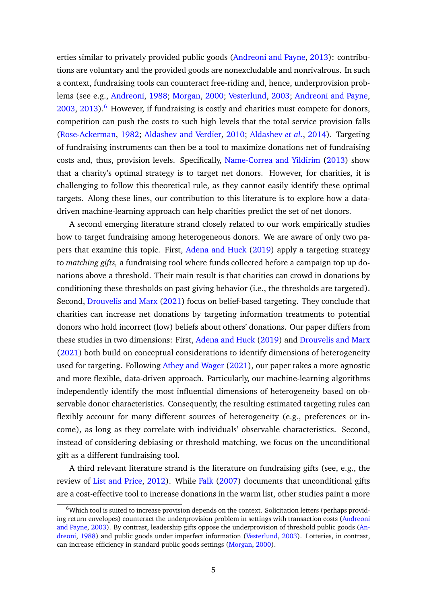erties similar to privately provided public goods [\(Andreoni and Payne,](#page-33-1) [2013\)](#page-33-1): contributions are voluntary and the provided goods are nonexcludable and nonrivalrous. In such a context, fundraising tools can counteract free-riding and, hence, underprovision problems (see e.g., [Andreoni,](#page-32-0) [1988;](#page-32-0) [Morgan,](#page-36-1) [2000;](#page-36-1) [Vesterlund,](#page-37-2) [2003;](#page-37-2) [Andreoni and Payne,](#page-33-4)  $2003$ ,  $2013$ ).<sup>[6](#page-5-0)</sup> However, if fundraising is costly and charities must compete for donors, competition can push the costs to such high levels that the total service provision falls [\(Rose-Ackerman,](#page-37-0) [1982;](#page-37-0) [Aldashev and Verdier,](#page-32-1) [2010;](#page-32-1) [Aldashev](#page-32-2) *et al.*, [2014\)](#page-32-2). Targeting of fundraising instruments can then be a tool to maximize donations net of fundraising costs and, thus, provision levels. Specifically, [Name-Correa and Yildirim](#page-36-0) [\(2013\)](#page-36-0) show that a charity's optimal strategy is to target net donors. However, for charities, it is challenging to follow this theoretical rule, as they cannot easily identify these optimal targets. Along these lines, our contribution to this literature is to explore how a datadriven machine-learning approach can help charities predict the set of net donors.

A second emerging literature strand closely related to our work empirically studies how to target fundraising among heterogeneous donors. We are aware of only two papers that examine this topic. First, [Adena and Huck](#page-32-3) [\(2019\)](#page-32-3) apply a targeting strategy to *matching gifts,* a fundraising tool where funds collected before a campaign top up donations above a threshold. Their main result is that charities can crowd in donations by conditioning these thresholds on past giving behavior (i.e., the thresholds are targeted). Second, [Drouvelis and Marx](#page-34-2) [\(2021\)](#page-34-2) focus on belief-based targeting. They conclude that charities can increase net donations by targeting information treatments to potential donors who hold incorrect (low) beliefs about others' donations. Our paper differs from these studies in two dimensions: First, [Adena and Huck](#page-32-3) [\(2019\)](#page-32-3) and [Drouvelis and Marx](#page-34-2) [\(2021\)](#page-34-2) both build on conceptual considerations to identify dimensions of heterogeneity used for targeting. Following [Athey and Wager](#page-33-3) [\(2021\)](#page-33-3), our paper takes a more agnostic and more flexible, data-driven approach. Particularly, our machine-learning algorithms independently identify the most influential dimensions of heterogeneity based on observable donor characteristics. Consequently, the resulting estimated targeting rules can flexibly account for many different sources of heterogeneity (e.g., preferences or income), as long as they correlate with individuals' observable characteristics. Second, instead of considering debiasing or threshold matching, we focus on the unconditional gift as a different fundraising tool.

A third relevant literature strand is the literature on fundraising gifts (see, e.g., the review of [List and Price,](#page-36-2) [2012\)](#page-36-2). While [Falk](#page-34-0) [\(2007\)](#page-34-0) documents that unconditional gifts are a cost-effective tool to increase donations in the warm list, other studies paint a more

<span id="page-5-0"></span><sup>6</sup>Which tool is suited to increase provision depends on the context. Solicitation letters (perhaps providing return envelopes) counteract the underprovision problem in settings with transaction costs [\(Andreoni](#page-33-4) [and Payne,](#page-33-4) [2003\)](#page-33-4). By contrast, leadership gifts oppose the underprovision of threshold public goods [\(An](#page-32-0)[dreoni,](#page-32-0) [1988\)](#page-32-0) and public goods under imperfect information [\(Vesterlund,](#page-37-2) [2003\)](#page-37-2). Lotteries, in contrast, can increase efficiency in standard public goods settings [\(Morgan,](#page-36-1) [2000\)](#page-36-1).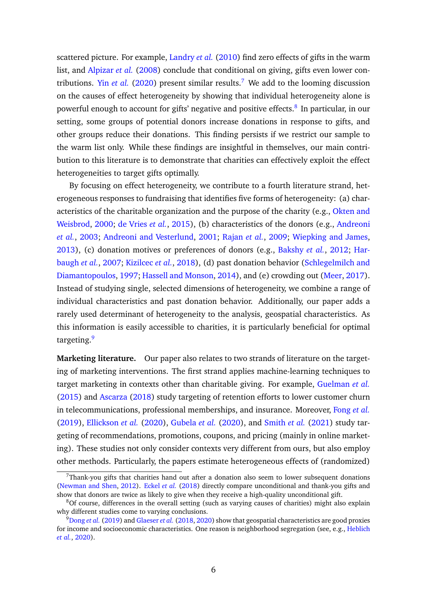scattered picture. For example, [Landry](#page-36-3) *et al.* [\(2010\)](#page-36-3) find zero effects of gifts in the warm list, and [Alpizar](#page-32-4) *et al.* [\(2008\)](#page-32-4) conclude that conditional on giving, gifts even lower contributions. Yin *[et al.](#page-38-1)* [\(2020\)](#page-38-1) present similar results.<sup>[7](#page-6-0)</sup> We add to the looming discussion on the causes of effect heterogeneity by showing that individual heterogeneity alone is powerful enough to account for gifts' negative and positive effects.<sup>[8](#page-6-1)</sup> In particular, in our setting, some groups of potential donors increase donations in response to gifts, and other groups reduce their donations. This finding persists if we restrict our sample to the warm list only. While these findings are insightful in themselves, our main contribution to this literature is to demonstrate that charities can effectively exploit the effect heterogeneities to target gifts optimally.

By focusing on effect heterogeneity, we contribute to a fourth literature strand, heterogeneous responses to fundraising that identifies five forms of heterogeneity: (a) characteristics of the charitable organization and the purpose of the charity (e.g., [Okten and](#page-36-4) [Weisbrod,](#page-36-4) [2000;](#page-36-4) [de Vries](#page-34-3) *et al.*, [2015\)](#page-34-3), (b) characteristics of the donors (e.g., [Andreoni](#page-32-5) *[et al.](#page-32-5)*, [2003;](#page-32-5) [Andreoni and Vesterlund,](#page-33-5) [2001;](#page-33-5) [Rajan](#page-36-5) *et al.*, [2009;](#page-36-5) [Wiepking and James,](#page-38-2) [2013\)](#page-38-2), (c) donation motives or preferences of donors (e.g., [Bakshy](#page-33-6) *et al.*, [2012;](#page-33-6) [Har](#page-35-2)[baugh](#page-35-2) *et al.*, [2007;](#page-35-2) [Kizilcec](#page-35-3) *et al.*, [2018\)](#page-35-3), (d) past donation behavior [\(Schlegelmilch and](#page-37-3) [Diamantopoulos,](#page-37-3) [1997;](#page-37-3) [Hassell and Monson,](#page-35-4) [2014\)](#page-35-4), and (e) crowding out [\(Meer,](#page-36-6) [2017\)](#page-36-6). Instead of studying single, selected dimensions of heterogeneity, we combine a range of individual characteristics and past donation behavior. Additionally, our paper adds a rarely used determinant of heterogeneity to the analysis, geospatial characteristics. As this information is easily accessible to charities, it is particularly beneficial for optimal targeting.<sup>[9](#page-6-2)</sup>

**Marketing literature.** Our paper also relates to two strands of literature on the targeting of marketing interventions. The first strand applies machine-learning techniques to target marketing in contexts other than charitable giving. For example, [Guelman](#page-35-5) *et al.* [\(2015\)](#page-35-5) and [Ascarza](#page-33-7) [\(2018\)](#page-33-7) study targeting of retention efforts to lower customer churn in telecommunications, professional memberships, and insurance. Moreover, [Fong](#page-34-4) *et al.* [\(2019\)](#page-34-4), [Ellickson](#page-34-5) *et al.* [\(2020\)](#page-34-5), [Gubela](#page-35-6) *et al.* [\(2020\)](#page-35-6), and [Smith](#page-37-4) *et al.* [\(2021\)](#page-37-4) study targeting of recommendations, promotions, coupons, and pricing (mainly in online marketing). These studies not only consider contexts very different from ours, but also employ other methods. Particularly, the papers estimate heterogeneous effects of (randomized)

<span id="page-6-0"></span> $7$ Thank-you gifts that charities hand out after a donation also seem to lower subsequent donations [\(Newman and Shen,](#page-36-7) [2012\)](#page-36-7). [Eckel](#page-34-6) *et al.* [\(2018\)](#page-34-6) directly compare unconditional and thank-you gifts and show that donors are twice as likely to give when they receive a high-quality unconditional gift.

<span id="page-6-1"></span><sup>8</sup>Of course, differences in the overall setting (such as varying causes of charities) might also explain why different studies come to varying conclusions.

<span id="page-6-2"></span><sup>9</sup>[Dong](#page-34-7) *et al.* [\(2019\)](#page-34-7) and [Glaeser](#page-34-8) *et al.* [\(2018,](#page-34-8) [2020\)](#page-34-9) show that geospatial characteristics are good proxies for income and socioeconomic characteristics. One reason is neighborhood segregation (see, e.g., [Heblich](#page-35-7) *[et al.](#page-35-7)*, [2020\)](#page-35-7).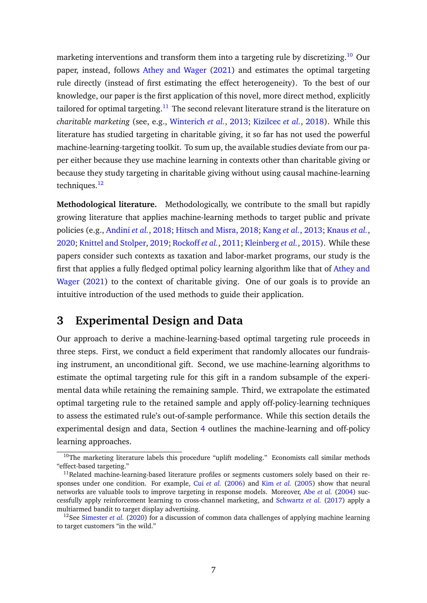marketing interventions and transform them into a targeting rule by discretizing.<sup>[10](#page-7-1)</sup> Our paper, instead, follows [Athey and Wager](#page-33-3) [\(2021\)](#page-33-3) and estimates the optimal targeting rule directly (instead of first estimating the effect heterogeneity). To the best of our knowledge, our paper is the first application of this novel, more direct method, explicitly tailored for optimal targeting.<sup>[11](#page-7-2)</sup> The second relevant literature strand is the literature on *charitable marketing* (see, e.g., [Winterich](#page-38-3) *et al.*, [2013;](#page-38-3) [Kizilcec](#page-35-3) *et al.*, [2018\)](#page-35-3). While this literature has studied targeting in charitable giving, it so far has not used the powerful machine-learning-targeting toolkit. To sum up, the available studies deviate from our paper either because they use machine learning in contexts other than charitable giving or because they study targeting in charitable giving without using causal machine-learning techniques.<sup>[12](#page-7-3)</sup>

**Methodological literature.** Methodologically, we contribute to the small but rapidly growing literature that applies machine-learning methods to target public and private policies (e.g., [Andini](#page-32-6) *et al.*, [2018;](#page-32-6) [Hitsch and Misra,](#page-35-8) [2018;](#page-35-8) [Kang](#page-35-9) *et al.*, [2013;](#page-35-9) [Knaus](#page-36-8) *et al.*, [2020;](#page-36-8) [Knittel and Stolper,](#page-36-9) [2019;](#page-36-9) [Rockoff](#page-37-5) *et al.*, [2011;](#page-37-5) [Kleinberg](#page-35-10) *et al.*, [2015\)](#page-35-10). While these papers consider such contexts as taxation and labor-market programs, our study is the first that applies a fully fledged optimal policy learning algorithm like that of [Athey and](#page-33-3) [Wager](#page-33-3) [\(2021\)](#page-33-3) to the context of charitable giving. One of our goals is to provide an intuitive introduction of the used methods to guide their application.

## <span id="page-7-0"></span>**3 Experimental Design and Data**

Our approach to derive a machine-learning-based optimal targeting rule proceeds in three steps. First, we conduct a field experiment that randomly allocates our fundraising instrument, an unconditional gift. Second, we use machine-learning algorithms to estimate the optimal targeting rule for this gift in a random subsample of the experimental data while retaining the remaining sample. Third, we extrapolate the estimated optimal targeting rule to the retained sample and apply off-policy-learning techniques to assess the estimated rule's out-of-sample performance. While this section details the experimental design and data, Section [4](#page-11-0) outlines the machine-learning and off-policy learning approaches.

<span id="page-7-1"></span><sup>&</sup>lt;sup>10</sup>The marketing literature labels this procedure "uplift modeling." Economists call similar methods "effect-based targeting."

<span id="page-7-2"></span> $11$ Related machine-learning-based literature profiles or segments customers solely based on their responses under one condition. For example, Cui *[et al.](#page-34-10)* [\(2006\)](#page-34-10) and Kim *[et al.](#page-35-11)* [\(2005\)](#page-35-11) show that neural networks are valuable tools to improve targeting in response models. Moreover, Abe *[et al.](#page-32-7)* [\(2004\)](#page-32-7) successfully apply reinforcement learning to cross-channel marketing, and [Schwartz](#page-37-6) *et al.* [\(2017\)](#page-37-6) apply a multiarmed bandit to target display advertising.

<span id="page-7-3"></span><sup>&</sup>lt;sup>12</sup>See [Simester](#page-37-7) *et al.* [\(2020\)](#page-37-7) for a discussion of common data challenges of applying machine learning to target customers "in the wild."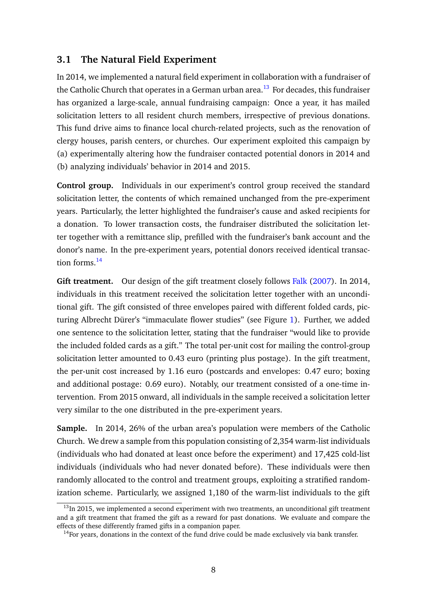### **3.1 The Natural Field Experiment**

In 2014, we implemented a natural field experiment in collaboration with a fundraiser of the Catholic Church that operates in a German urban area.<sup>[13](#page-8-0)</sup> For decades, this fundraiser has organized a large-scale, annual fundraising campaign: Once a year, it has mailed solicitation letters to all resident church members, irrespective of previous donations. This fund drive aims to finance local church-related projects, such as the renovation of clergy houses, parish centers, or churches. Our experiment exploited this campaign by (a) experimentally altering how the fundraiser contacted potential donors in 2014 and (b) analyzing individuals' behavior in 2014 and 2015.

**Control group.** Individuals in our experiment's control group received the standard solicitation letter, the contents of which remained unchanged from the pre-experiment years. Particularly, the letter highlighted the fundraiser's cause and asked recipients for a donation. To lower transaction costs, the fundraiser distributed the solicitation letter together with a remittance slip, prefilled with the fundraiser's bank account and the donor's name. In the pre-experiment years, potential donors received identical transac-tion forms.<sup>[14](#page-8-1)</sup>

**Gift treatment.** Our design of the gift treatment closely follows [Falk](#page-34-0) [\(2007\)](#page-34-0). In 2014, individuals in this treatment received the solicitation letter together with an unconditional gift. The gift consisted of three envelopes paired with different folded cards, picturing Albrecht Dürer's "immaculate flower studies" (see Figure [1\)](#page-9-0). Further, we added one sentence to the solicitation letter, stating that the fundraiser "would like to provide the included folded cards as a gift." The total per-unit cost for mailing the control-group solicitation letter amounted to 0.43 euro (printing plus postage). In the gift treatment, the per-unit cost increased by 1.16 euro (postcards and envelopes: 0.47 euro; boxing and additional postage: 0.69 euro). Notably, our treatment consisted of a one-time intervention. From 2015 onward, all individuals in the sample received a solicitation letter very similar to the one distributed in the pre-experiment years.

**Sample.** In 2014, 26% of the urban area's population were members of the Catholic Church. We drew a sample from this population consisting of 2,354 warm-list individuals (individuals who had donated at least once before the experiment) and 17,425 cold-list individuals (individuals who had never donated before). These individuals were then randomly allocated to the control and treatment groups, exploiting a stratified randomization scheme. Particularly, we assigned 1,180 of the warm-list individuals to the gift

<span id="page-8-0"></span> $13$ In 2015, we implemented a second experiment with two treatments, an unconditional gift treatment and a gift treatment that framed the gift as a reward for past donations. We evaluate and compare the effects of these differently framed gifts in a companion paper.

<span id="page-8-1"></span> $14$  For years, donations in the context of the fund drive could be made exclusively via bank transfer.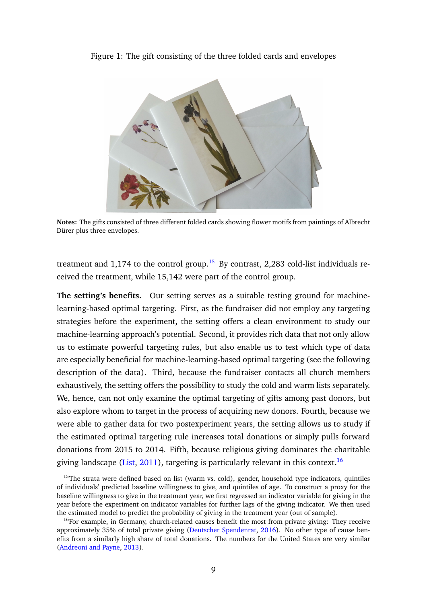<span id="page-9-0"></span>Figure 1: The gift consisting of the three folded cards and envelopes



**Notes:** The gifts consisted of three different folded cards showing flower motifs from paintings of Albrecht Dürer plus three envelopes.

treatment and 1,174 to the control group.<sup>[15](#page-9-1)</sup> By contrast, 2,283 cold-list individuals received the treatment, while 15,142 were part of the control group.

**The setting's benefits.** Our setting serves as a suitable testing ground for machinelearning-based optimal targeting. First, as the fundraiser did not employ any targeting strategies before the experiment, the setting offers a clean environment to study our machine-learning approach's potential. Second, it provides rich data that not only allow us to estimate powerful targeting rules, but also enable us to test which type of data are especially beneficial for machine-learning-based optimal targeting (see the following description of the data). Third, because the fundraiser contacts all church members exhaustively, the setting offers the possibility to study the cold and warm lists separately. We, hence, can not only examine the optimal targeting of gifts among past donors, but also explore whom to target in the process of acquiring new donors. Fourth, because we were able to gather data for two postexperiment years, the setting allows us to study if the estimated optimal targeting rule increases total donations or simply pulls forward donations from 2015 to 2014. Fifth, because religious giving dominates the charitable giving landscape [\(List,](#page-36-10)  $2011$ ), targeting is particularly relevant in this context.<sup>[16](#page-9-2)</sup>

<span id="page-9-1"></span> $15$ The strata were defined based on list (warm vs. cold), gender, household type indicators, quintiles of individuals' predicted baseline willingness to give, and quintiles of age. To construct a proxy for the baseline willingness to give in the treatment year, we first regressed an indicator variable for giving in the year before the experiment on indicator variables for further lags of the giving indicator. We then used the estimated model to predict the probability of giving in the treatment year (out of sample).

<span id="page-9-2"></span><sup>&</sup>lt;sup>16</sup>For example, in Germany, church-related causes benefit the most from private giving: They receive approximately 35% of total private giving [\(Deutscher Spendenrat,](#page-34-11) [2016\)](#page-34-11). No other type of cause benefits from a similarly high share of total donations. The numbers for the United States are very similar [\(Andreoni and Payne,](#page-33-1) [2013\)](#page-33-1).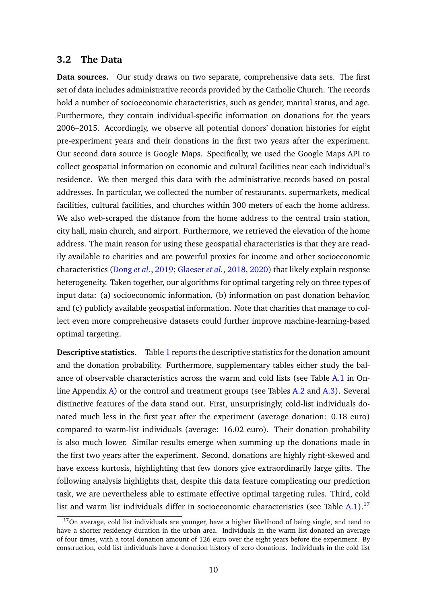#### **3.2 The Data**

**Data sources.** Our study draws on two separate, comprehensive data sets. The first set of data includes administrative records provided by the Catholic Church. The records hold a number of socioeconomic characteristics, such as gender, marital status, and age. Furthermore, they contain individual-specific information on donations for the years 2006–2015. Accordingly, we observe all potential donors' donation histories for eight pre-experiment years and their donations in the first two years after the experiment. Our second data source is Google Maps. Specifically, we used the Google Maps API to collect geospatial information on economic and cultural facilities near each individual's residence. We then merged this data with the administrative records based on postal addresses. In particular, we collected the number of restaurants, supermarkets, medical facilities, cultural facilities, and churches within 300 meters of each the home address. We also web-scraped the distance from the home address to the central train station, city hall, main church, and airport. Furthermore, we retrieved the elevation of the home address. The main reason for using these geospatial characteristics is that they are readily available to charities and are powerful proxies for income and other socioeconomic characteristics [\(Dong](#page-34-7) *et al.*, [2019;](#page-34-7) [Glaeser](#page-34-8) *et al.*, [2018,](#page-34-8) [2020\)](#page-34-9) that likely explain response heterogeneity. Taken together, our algorithms for optimal targeting rely on three types of input data: (a) socioeconomic information, (b) information on past donation behavior, and (c) publicly available geospatial information. Note that charities that manage to collect even more comprehensive datasets could further improve machine-learning-based optimal targeting.

**Descriptive statistics.** Table [1](#page-11-1) reports the descriptive statistics for the donation amount and the donation probability. Furthermore, supplementary tables either study the balance of observable characteristics across the warm and cold lists (see Table [A.1](#page-40-0) in Online Appendix [A\)](#page-2-3) or the control and treatment groups (see Tables [A.2](#page-41-0) and [A.3\)](#page-42-0). Several distinctive features of the data stand out. First, unsurprisingly, cold-list individuals donated much less in the first year after the experiment (average donation: 0.18 euro) compared to warm-list individuals (average: 16.02 euro). Their donation probability is also much lower. Similar results emerge when summing up the donations made in the first two years after the experiment. Second, donations are highly right-skewed and have excess kurtosis, highlighting that few donors give extraordinarily large gifts. The following analysis highlights that, despite this data feature complicating our prediction task, we are nevertheless able to estimate effective optimal targeting rules. Third, cold list and warm list individuals differ in socioeconomic characteristics (see Table  $A.1$ ).<sup>[17](#page-10-0)</sup>

<span id="page-10-0"></span> $17$ On average, cold list individuals are younger, have a higher likelihood of being single, and tend to have a shorter residency duration in the urban area. Individuals in the warm list donated an average of four times, with a total donation amount of 126 euro over the eight years before the experiment. By construction, cold list individuals have a donation history of zero donations. Individuals in the cold list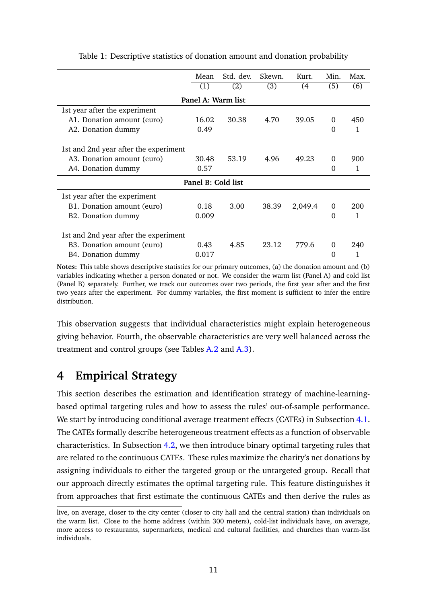|                                       | Mean               | Std. dev. | Skewn. | Kurt.   | Min.     | Max. |  |  |  |  |
|---------------------------------------|--------------------|-----------|--------|---------|----------|------|--|--|--|--|
|                                       | (1)                | (2)       | (3)    | (4      | (5)      | (6)  |  |  |  |  |
| Panel A: Warm list                    |                    |           |        |         |          |      |  |  |  |  |
| 1st year after the experiment         |                    |           |        |         |          |      |  |  |  |  |
| A1. Donation amount (euro)            | 16.02              | 30.38     | 4.70   | 39.05   | $\theta$ | 450  |  |  |  |  |
| A2. Donation dummy                    | 0.49               |           |        |         | 0        | 1    |  |  |  |  |
| 1st and 2nd year after the experiment |                    |           |        |         |          |      |  |  |  |  |
| A3. Donation amount (euro)            | 30.48              | 53.19     | 4.96   | 49.23   | 0        | 900  |  |  |  |  |
| A4. Donation dummy                    | 0.57               |           |        |         | $\Omega$ | 1    |  |  |  |  |
|                                       | Panel B: Cold list |           |        |         |          |      |  |  |  |  |
| 1st year after the experiment         |                    |           |        |         |          |      |  |  |  |  |
| B1. Donation amount (euro)            | 0.18               | 3.00      | 38.39  | 2,049.4 | 0        | 200  |  |  |  |  |
| B2. Donation dummy                    | 0.009              |           |        |         | $\Omega$ | 1    |  |  |  |  |
| 1st and 2nd year after the experiment |                    |           |        |         |          |      |  |  |  |  |
| B3. Donation amount (euro)            | 0.43               | 4.85      | 23.12  | 779.6   | 0        | 240  |  |  |  |  |
| B4. Donation dummy                    | 0.017              |           |        |         | 0        |      |  |  |  |  |

<span id="page-11-1"></span>Table 1: Descriptive statistics of donation amount and donation probability

**Notes:** This table shows descriptive statistics for our primary outcomes, (a) the donation amount and (b) variables indicating whether a person donated or not. We consider the warm list (Panel A) and cold list (Panel B) separately. Further, we track our outcomes over two periods, the first year after and the first two years after the experiment. For dummy variables, the first moment is sufficient to infer the entire distribution.

This observation suggests that individual characteristics might explain heterogeneous giving behavior. Fourth, the observable characteristics are very well balanced across the treatment and control groups (see Tables [A.2](#page-41-0) and [A.3\)](#page-42-0).

## <span id="page-11-0"></span>**4 Empirical Strategy**

This section describes the estimation and identification strategy of machine-learningbased optimal targeting rules and how to assess the rules' out-of-sample performance. We start by introducing conditional average treatment effects (CATEs) in Subsection [4.1.](#page-12-0) The CATEs formally describe heterogeneous treatment effects as a function of observable characteristics. In Subsection [4.2,](#page-13-0) we then introduce binary optimal targeting rules that are related to the continuous CATEs. These rules maximize the charity's net donations by assigning individuals to either the targeted group or the untargeted group. Recall that our approach directly estimates the optimal targeting rule. This feature distinguishes it from approaches that first estimate the continuous CATEs and then derive the rules as

live, on average, closer to the city center (closer to city hall and the central station) than individuals on the warm list. Close to the home address (within 300 meters), cold-list individuals have, on average, more access to restaurants, supermarkets, medical and cultural facilities, and churches than warm-list individuals.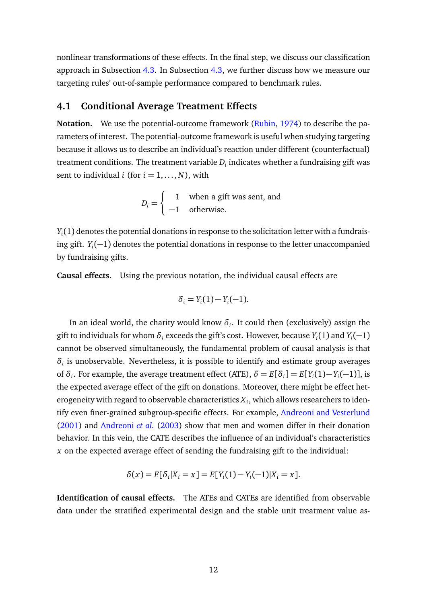nonlinear transformations of these effects. In the final step, we discuss our classification approach in Subsection [4.3.](#page-14-0) In Subsection [4.3,](#page-14-0) we further discuss how we measure our targeting rules' out-of-sample performance compared to benchmark rules.

### <span id="page-12-0"></span>**4.1 Conditional Average Treatment Effects**

**Notation.** We use the potential-outcome framework [\(Rubin,](#page-37-8) [1974\)](#page-37-8) to describe the parameters of interest. The potential-outcome framework is useful when studying targeting because it allows us to describe an individual's reaction under different (counterfactual) treatment conditions. The treatment variable  $D_i$  indicates whether a fundraising gift was sent to individual *i* (for  $i = 1, \ldots, N$ ), with

$$
D_i = \begin{cases} 1 & \text{when a gift was sent, and} \\ -1 & \text{otherwise.} \end{cases}
$$

*Yi* (1) denotes the potential donations in response to the solicitation letter with a fundraising gift. *Y<sup>i</sup>* (−1) denotes the potential donations in response to the letter unaccompanied by fundraising gifts.

**Causal effects.** Using the previous notation, the individual causal effects are

$$
\delta_i = Y_i(1) - Y_i(-1).
$$

In an ideal world, the charity would know  $\delta_i$ . It could then (exclusively) assign the gift to individuals for whom  $\delta_i$  exceeds the gift's cost. However, because  $Y_i(1)$  and  $Y_i(-1)$ cannot be observed simultaneously, the fundamental problem of causal analysis is that *δi* is unobservable. Nevertheless, it is possible to identify and estimate group averages of  $\delta_i$ . For example, the average treatment effect (ATE),  $\delta = E[\delta_i] = E[Y_i(1) - Y_i(-1)]$ , is the expected average effect of the gift on donations. Moreover, there might be effect heterogeneity with regard to observable characteristics  $X_i$ , which allows researchers to identify even finer-grained subgroup-specific effects. For example, [Andreoni and Vesterlund](#page-33-5) [\(2001\)](#page-33-5) and [Andreoni](#page-32-5) *et al.* [\(2003\)](#page-32-5) show that men and women differ in their donation behavior. In this vein, the CATE describes the influence of an individual's characteristics *x* on the expected average effect of sending the fundraising gift to the individual:

$$
\delta(x) = E[\delta_i | X_i = x] = E[Y_i(1) - Y_i(-1)|X_i = x].
$$

**Identification of causal effects.** The ATEs and CATEs are identified from observable data under the stratified experimental design and the stable unit treatment value as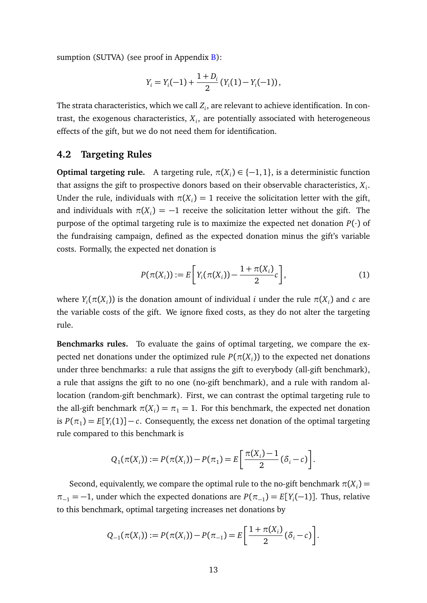sumption (SUTVA) (see proof in Appendix  $B$ ):

$$
Y_i = Y_i(-1) + \frac{1+D_i}{2} (Y_i(1) - Y_i(-1)),
$$

The strata characteristics, which we call *Z<sup>i</sup>* , are relevant to achieve identification. In contrast, the exogenous characteristics, *X<sup>i</sup>* , are potentially associated with heterogeneous effects of the gift, but we do not need them for identification.

#### <span id="page-13-0"></span>**4.2 Targeting Rules**

**Optimal targeting rule.** A targeting rule,  $\pi(X_i) \in \{-1, 1\}$ , is a deterministic function that assigns the gift to prospective donors based on their observable characteristics, *X<sup>i</sup>* . Under the rule, individuals with  $\pi(X_i) = 1$  receive the solicitation letter with the gift, and individuals with  $\pi(X_i) = -1$  receive the solicitation letter without the gift. The purpose of the optimal targeting rule is to maximize the expected net donation  $P(\cdot)$  of the fundraising campaign, defined as the expected donation minus the gift's variable costs. Formally, the expected net donation is

$$
P(\pi(X_i)) := E\bigg[Y_i(\pi(X_i)) - \frac{1 + \pi(X_i)}{2}c\bigg],
$$
\n(1)

where  $Y_i(\pi(X_i))$  is the donation amount of individual *i* under the rule  $\pi(X_i)$  and  $c$  are the variable costs of the gift. We ignore fixed costs, as they do not alter the targeting rule.

**Benchmarks rules.** To evaluate the gains of optimal targeting, we compare the expected net donations under the optimized rule  $P(\pi(X_i))$  to the expected net donations under three benchmarks: a rule that assigns the gift to everybody (all-gift benchmark), a rule that assigns the gift to no one (no-gift benchmark), and a rule with random allocation (random-gift benchmark). First, we can contrast the optimal targeting rule to the all-gift benchmark  $\pi(X_i) = \pi_1 = 1$ . For this benchmark, the expected net donation is  $P(\pi_1) = E[Y_i(1)] - c$ . Consequently, the excess net donation of the optimal targeting rule compared to this benchmark is

$$
Q_1(\pi(X_i)) := P(\pi(X_i)) - P(\pi_1) = E\left[\frac{\pi(X_i) - 1}{2}(\delta_i - c)\right].
$$

Second, equivalently, we compare the optimal rule to the no-gift benchmark  $\pi(X_i)$  =  $\pi_{-1} = -1$ , under which the expected donations are  $P(\pi_{-1}) = E[Y_i(-1)]$ . Thus, relative to this benchmark, optimal targeting increases net donations by

$$
Q_{-1}(\pi(X_i)) := P(\pi(X_i)) - P(\pi_{-1}) = E\left[\frac{1 + \pi(X_i)}{2}(\delta_i - c)\right].
$$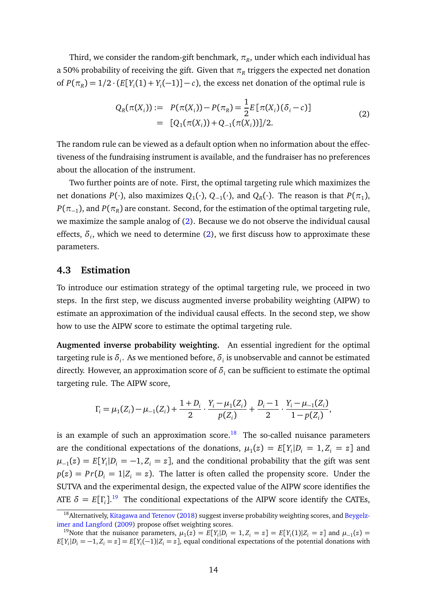Third, we consider the random-gift benchmark,  $\pi_R$ , under which each individual has a 50% probability of receiving the gift. Given that  $\pi_R$  triggers the expected net donation of  $P(\pi_R) = 1/2 \cdot (E[Y_i(1) + Y_i(-1)] - c)$ , the excess net donation of the optimal rule is

<span id="page-14-1"></span>
$$
Q_R(\pi(X_i)) := P(\pi(X_i)) - P(\pi_R) = \frac{1}{2} E[\pi(X_i)(\delta_i - c)]
$$
  
= 
$$
[Q_1(\pi(X_i)) + Q_{-1}(\pi(X_i))]/2.
$$
 (2)

The random rule can be viewed as a default option when no information about the effectiveness of the fundraising instrument is available, and the fundraiser has no preferences about the allocation of the instrument.

Two further points are of note. First, the optimal targeting rule which maximizes the net donations  $P(\cdot)$ , also maximizes  $Q_1(\cdot)$ ,  $Q_{-1}(\cdot)$ , and  $Q_R(\cdot)$ . The reason is that  $P(\pi_1)$ ,  $P(\pi_{-1})$ , and  $P(\pi_{R})$  are constant. Second, for the estimation of the optimal targeting rule, we maximize the sample analog of [\(2\)](#page-14-1). Because we do not observe the individual causal effects,  $\delta_i$ , which we need to determine [\(2\)](#page-14-1), we first discuss how to approximate these parameters.

#### <span id="page-14-0"></span>**4.3 Estimation**

To introduce our estimation strategy of the optimal targeting rule, we proceed in two steps. In the first step, we discuss augmented inverse probability weighting (AIPW) to estimate an approximation of the individual causal effects. In the second step, we show how to use the AIPW score to estimate the optimal targeting rule.

**Augmented inverse probability weighting.** An essential ingredient for the optimal targeting rule is  $\delta_i.$  As we mentioned before,  $\delta_i$  is unobservable and cannot be estimated directly. However, an approximation score of  $\delta_i$  can be sufficient to estimate the optimal targeting rule. The AIPW score,

$$
\Gamma_i = \mu_1(Z_i) - \mu_{-1}(Z_i) + \frac{1+D_i}{2} \cdot \frac{Y_i - \mu_1(Z_i)}{p(Z_i)} + \frac{D_i - 1}{2} \cdot \frac{Y_i - \mu_{-1}(Z_i)}{1 - p(Z_i)},
$$

is an example of such an approximation score.<sup>[18](#page-14-2)</sup> The so-called nuisance parameters are the conditional expectations of the donations,  $\mu_1(z) = E[Y_i|D_i = 1, Z_i = z]$  and  $\mu_{-1}(z) = E[Y_i|D_i = -1, Z_i = z]$ , and the conditional probability that the gift was sent  $p(z) = Pr(D<sub>i</sub> = 1 | Z<sub>i</sub> = z)$ . The latter is often called the propensity score. Under the SUTVA and the experimental design, the expected value of the AIPW score identifies the ATE  $\delta = E[\Gamma_i]$ <sup>[19](#page-14-3)</sup> The conditional expectations of the AIPW score identify the CATEs,

<span id="page-14-2"></span><sup>&</sup>lt;sup>18</sup> Alternatively, [Kitagawa and Tetenov](#page-35-1) [\(2018\)](#page-35-1) suggest inverse probability weighting scores, and [Beygelz](#page-33-8)[imer and Langford](#page-33-8) [\(2009\)](#page-33-8) propose offset weighting scores.

<span id="page-14-3"></span><sup>&</sup>lt;sup>19</sup>Note that the nuisance parameters,  $\mu_1(z) = E[Y_i|D_i = 1, Z_i = z] = E[Y_i(1)|Z_i = z]$  and  $\mu_{-1}(z) =$  $E[Y_i|D_i = -1, Z_i = z] = E[Y_i(-1)|Z_i = z]$ , equal conditional expectations of the potential donations with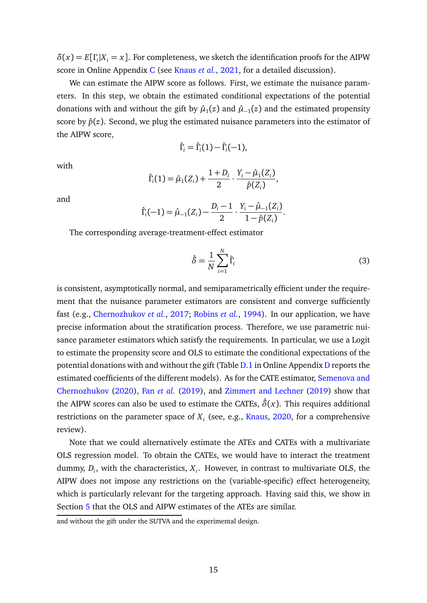$\delta(x) = E[\Gamma_i | X_i = x]$ . For completeness, we sketch the identification proofs for the AIPW score in Online Appendix [C](#page-7-0) (see [Knaus](#page-36-11) *et al.*, [2021,](#page-36-11) for a detailed discussion).

We can estimate the AIPW score as follows. First, we estimate the nuisance parameters. In this step, we obtain the estimated conditional expectations of the potential donations with and without the gift by  $\hat{\mu}_1(z)$  and  $\hat{\mu}_{-1}(z)$  and the estimated propensity score by  $\hat{p}(z)$ . Second, we plug the estimated nuisance parameters into the estimator of the AIPW score,

$$
\hat{\Gamma}_i = \hat{\Gamma}_i(1) - \hat{\Gamma}_i(-1),
$$

with

$$
\hat{\Gamma}_i(1) = \hat{\mu}_1(Z_i) + \frac{1+D_i}{2} \cdot \frac{Y_i - \hat{\mu}_1(Z_i)}{\hat{p}(Z_i)},
$$

and

$$
\hat{\Gamma}_i(-1) = \hat{\mu}_{-1}(Z_i) - \frac{D_i - 1}{2} \cdot \frac{Y_i - \hat{\mu}_{-1}(Z_i)}{1 - \hat{p}(Z_i)}.
$$

The corresponding average-treatment-effect estimator

$$
\hat{\delta} = \frac{1}{N} \sum_{i=1}^{N} \hat{\Gamma}_i
$$
\n(3)

is consistent, asymptotically normal, and semiparametrically efficient under the requirement that the nuisance parameter estimators are consistent and converge sufficiently fast (e.g., [Chernozhukov](#page-33-9) *et al.*, [2017;](#page-33-9) [Robins](#page-37-9) *et al.*, [1994\)](#page-37-9). In our application, we have precise information about the stratification process. Therefore, we use parametric nuisance parameter estimators which satisfy the requirements. In particular, we use a Logit to estimate the propensity score and OLS to estimate the conditional expectations of the potential donations with and without the gift (Table [D.1](#page-46-0) in Online Appendix [D](#page-11-0) reports the estimated coefficients of the different models). As for the CATE estimator, [Semenova and](#page-37-10) [Chernozhukov](#page-37-10) [\(2020\)](#page-37-10), Fan *[et al.](#page-34-12)* [\(2019\)](#page-34-12), and [Zimmert and Lechner](#page-38-4) [\(2019\)](#page-38-4) show that the AIPW scores can also be used to estimate the CATEs,  $\hat{\delta}(x)$ . This requires additional restrictions on the parameter space of *X<sup>i</sup>* (see, e.g., [Knaus,](#page-36-12) [2020,](#page-36-12) for a comprehensive review).

Note that we could alternatively estimate the ATEs and CATEs with a multivariate OLS regression model. To obtain the CATEs, we would have to interact the treatment dummy, *D<sup>i</sup>* , with the characteristics, *X<sup>i</sup>* . However, in contrast to multivariate OLS, the AIPW does not impose any restrictions on the (variable-specific) effect heterogeneity, which is particularly relevant for the targeting approach. Having said this, we show in Section [5](#page-18-0) that the OLS and AIPW estimates of the ATEs are similar.

and without the gift under the SUTVA and the experimental design.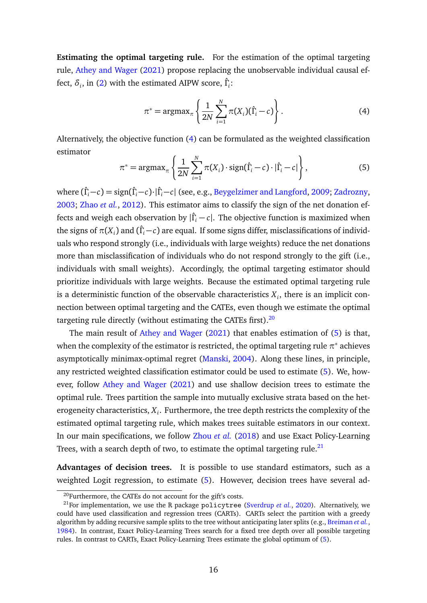**Estimating the optimal targeting rule.** For the estimation of the optimal targeting rule, [Athey and Wager](#page-33-3) [\(2021\)](#page-33-3) propose replacing the unobservable individual causal effect,  $\delta_i$ , in [\(2\)](#page-14-1) with the estimated AIPW score,  $\hat{\Gamma}_i$ :

<span id="page-16-0"></span>
$$
\pi^* = \operatorname{argmax}_{\pi} \left\{ \frac{1}{2N} \sum_{i=1}^N \pi(X_i)(\hat{\Gamma}_i - c) \right\}.
$$
 (4)

Alternatively, the objective function [\(4\)](#page-16-0) can be formulated as the weighted classification estimator

<span id="page-16-2"></span>
$$
\pi^* = \operatorname{argmax}_{\pi} \left\{ \frac{1}{2N} \sum_{i=1}^N \pi(X_i) \cdot \operatorname{sign}(\hat{\Gamma}_i - c) \cdot |\hat{\Gamma}_i - c| \right\},\tag{5}
$$

where (*Γ*ˆ *<sup>i</sup>*−*c*) = sign(*Γ*ˆ *<sup>i</sup>*−*c*)·|*Γ*ˆ *<sup>i</sup>*−*c*| (see, e.g., [Beygelzimer and Langford,](#page-33-8) [2009;](#page-33-8) [Zadrozny,](#page-38-5) [2003;](#page-38-5) [Zhao](#page-38-6) *et al.*, [2012\)](#page-38-6). This estimator aims to classify the sign of the net donation effects and weigh each observation by |*Γ*ˆ *<sup>i</sup>* − *c*|. The objective function is maximized when the signs of  $\pi(X_i)$  and  $(\hat{\Gamma}_i\!-\!c)$  are equal. If some signs differ, misclassifications of individuals who respond strongly (i.e., individuals with large weights) reduce the net donations more than misclassification of individuals who do not respond strongly to the gift (i.e., individuals with small weights). Accordingly, the optimal targeting estimator should prioritize individuals with large weights. Because the estimated optimal targeting rule is a deterministic function of the observable characteristics  $X_i$ , there is an implicit connection between optimal targeting and the CATEs, even though we estimate the optimal targeting rule directly (without estimating the CATEs first). $20$ 

The main result of [Athey and Wager](#page-33-3) [\(2021\)](#page-33-3) that enables estimation of [\(5\)](#page-16-2) is that, when the complexity of the estimator is restricted, the optimal targeting rule  $\pi^*$  achieves asymptotically minimax-optimal regret [\(Manski,](#page-36-13) [2004\)](#page-36-13). Along these lines, in principle, any restricted weighted classification estimator could be used to estimate [\(5\)](#page-16-2). We, however, follow [Athey and Wager](#page-33-3) [\(2021\)](#page-33-3) and use shallow decision trees to estimate the optimal rule. Trees partition the sample into mutually exclusive strata based on the heterogeneity characteristics,  $X_i.$  Furthermore, the tree depth restricts the complexity of the estimated optimal targeting rule, which makes trees suitable estimators in our context. In our main specifications, we follow [Zhou](#page-38-0) *et al.* [\(2018\)](#page-38-0) and use Exact Policy-Learning Trees, with a search depth of two, to estimate the optimal targeting rule.<sup>[21](#page-16-3)</sup>

**Advantages of decision trees.** It is possible to use standard estimators, such as a weighted Logit regression, to estimate [\(5\)](#page-16-2). However, decision trees have several ad-

<span id="page-16-3"></span><span id="page-16-1"></span><sup>&</sup>lt;sup>20</sup>Furthermore, the CATEs do not account for the gift's costs.

<sup>21</sup>For implementation, we use the R package policytree [\(Sverdrup](#page-37-11) *et al.*, [2020\)](#page-37-11). Alternatively, we could have used classification and regression trees (CARTs). CARTs select the partition with a greedy algorithm by adding recursive sample splits to the tree without anticipating later splits (e.g., [Breiman](#page-33-10) *et al.*, [1984\)](#page-33-10). In contrast, Exact Policy-Learning Trees search for a fixed tree depth over all possible targeting rules. In contrast to CARTs, Exact Policy-Learning Trees estimate the global optimum of [\(5\)](#page-16-2).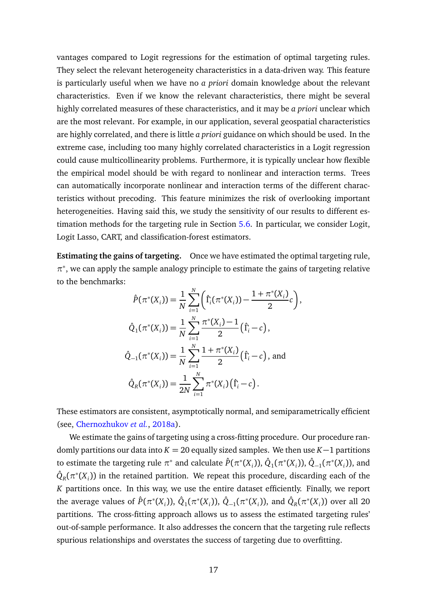vantages compared to Logit regressions for the estimation of optimal targeting rules. They select the relevant heterogeneity characteristics in a data-driven way. This feature is particularly useful when we have no *a priori* domain knowledge about the relevant characteristics. Even if we know the relevant characteristics, there might be several highly correlated measures of these characteristics, and it may be *a priori* unclear which are the most relevant. For example, in our application, several geospatial characteristics are highly correlated, and there is little *a priori* guidance on which should be used. In the extreme case, including too many highly correlated characteristics in a Logit regression could cause multicollinearity problems. Furthermore, it is typically unclear how flexible the empirical model should be with regard to nonlinear and interaction terms. Trees can automatically incorporate nonlinear and interaction terms of the different characteristics without precoding. This feature minimizes the risk of overlooking important heterogeneities. Having said this, we study the sensitivity of our results to different estimation methods for the targeting rule in Section [5.6.](#page-30-0) In particular, we consider Logit, Logit Lasso, CART, and classification-forest estimators.

**Estimating the gains of targeting.** Once we have estimated the optimal targeting rule,  $\pi^*$ , we can apply the sample analogy principle to estimate the gains of targeting relative to the benchmarks:

$$
\hat{P}(\pi^*(X_i)) = \frac{1}{N} \sum_{i=1}^N \left( \hat{\Gamma}_i(\pi^*(X_i)) - \frac{1 + \pi^*(X_i)}{2} c \right),
$$
  

$$
\hat{Q}_1(\pi^*(X_i)) = \frac{1}{N} \sum_{i=1}^N \frac{\pi^*(X_i) - 1}{2} (\hat{\Gamma}_i - c),
$$
  

$$
\hat{Q}_{-1}(\pi^*(X_i)) = \frac{1}{N} \sum_{i=1}^N \frac{1 + \pi^*(X_i)}{2} (\hat{\Gamma}_i - c),
$$
 and  

$$
\hat{Q}_R(\pi^*(X_i)) = \frac{1}{2N} \sum_{i=1}^N \pi^*(X_i) (\hat{\Gamma}_i - c).
$$

These estimators are consistent, asymptotically normal, and semiparametrically efficient (see, [Chernozhukov](#page-33-11) *et al.*, [2018a\)](#page-33-11).

We estimate the gains of targeting using a cross-fitting procedure. Our procedure randomly partitions our data into  $K = 20$  equally sized samples. We then use  $K-1$  partitions to estimate the targeting rule  $\pi^*$  and calculate  $\hat{P}(\pi^*(X_i)),$   $\hat{Q}_1(\pi^*(X_i)),$   $\hat{Q}_{-1}(\pi^*(X_i)),$  and  $\hat{Q}_R(\pi^*(X_i))$  in the retained partition. We repeat this procedure, discarding each of the *K* partitions once. In this way, we use the entire dataset efficiently. Finally, we report the average values of  $\hat{P}(\pi^*(X_i)),\,\hat{Q}_1(\pi^*(X_i)),\,\hat{Q}_{-1}(\pi^*(X_i)),$  and  $\hat{Q}_R(\pi^*(X_i))$  over all 20 partitions. The cross-fitting approach allows us to assess the estimated targeting rules' out-of-sample performance. It also addresses the concern that the targeting rule reflects spurious relationships and overstates the success of targeting due to overfitting.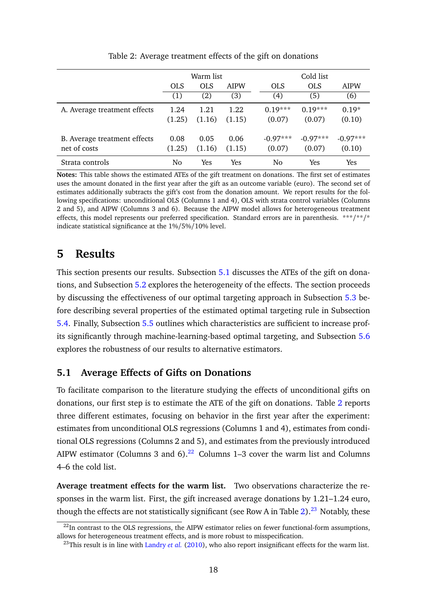<span id="page-18-2"></span>

|                              | Warm list  |            |             |  | Cold list  |            |             |
|------------------------------|------------|------------|-------------|--|------------|------------|-------------|
|                              | <b>OLS</b> | <b>OLS</b> | <b>AIPW</b> |  | <b>OLS</b> | <b>OLS</b> | <b>AIPW</b> |
|                              | (1)        | (2)        | (3)         |  | (4)        | (5)        | (6)         |
| A. Average treatment effects | 1.24       | 1.21       | 1.22        |  | $0.19***$  | $0.19***$  | $0.19*$     |
|                              | (1.25)     | (1.16)     | (1.15)      |  | (0.07)     | (0.07)     | (0.10)      |
| B. Average treatment effects | 0.08       | 0.05       | 0.06        |  | $-0.97***$ | $-0.97***$ | $-0.97***$  |
| net of costs                 | (1.25)     | (1.16)     | (1.15)      |  | (0.07)     | (0.07)     | (0.10)      |
| Strata controls              | No         | Yes        | Yes         |  | No         | Yes        | <b>Yes</b>  |

Table 2: Average treatment effects of the gift on donations

**Notes:** This table shows the estimated ATEs of the gift treatment on donations. The first set of estimates uses the amount donated in the first year after the gift as an outcome variable (euro). The second set of estimates additionally subtracts the gift's cost from the donation amount. We report results for the following specifications: unconditional OLS (Columns 1 and 4), OLS with strata control variables (Columns 2 and 5), and AIPW (Columns 3 and 6). Because the AIPW model allows for heterogeneous treatment effects, this model represents our preferred specification. Standard errors are in parenthesis. \*\*\*/\*\*/\* indicate statistical significance at the 1%/5%/10% level.

## <span id="page-18-0"></span>**5 Results**

This section presents our results. Subsection [5.1](#page-18-1) discusses the ATEs of the gift on donations, and Subsection [5.2](#page-19-0) explores the heterogeneity of the effects. The section proceeds by discussing the effectiveness of our optimal targeting approach in Subsection [5.3](#page-21-0) before describing several properties of the estimated optimal targeting rule in Subsection [5.4.](#page-24-0) Finally, Subsection [5.5](#page-27-0) outlines which characteristics are sufficient to increase profits significantly through machine-learning-based optimal targeting, and Subsection [5.6](#page-30-0) explores the robustness of our results to alternative estimators.

### <span id="page-18-1"></span>**5.1 Average Effects of Gifts on Donations**

To facilitate comparison to the literature studying the effects of unconditional gifts on donations, our first step is to estimate the ATE of the gift on donations. Table [2](#page-18-2) reports three different estimates, focusing on behavior in the first year after the experiment: estimates from unconditional OLS regressions (Columns 1 and 4), estimates from conditional OLS regressions (Columns 2 and 5), and estimates from the previously introduced AIPW estimator (Columns 3 and  $6$ ).<sup>[22](#page-18-3)</sup> Columns 1–3 cover the warm list and Columns 4–6 the cold list.

**Average treatment effects for the warm list.** Two observations characterize the responses in the warm list. First, the gift increased average donations by 1.21–1.24 euro, though the effects are not statistically significant (see Row A in Table [2\)](#page-18-2).<sup>[23](#page-18-4)</sup> Notably, these

<span id="page-18-3"></span> $^{22}$ In contrast to the OLS regressions, the AIPW estimator relies on fewer functional-form assumptions, allows for heterogeneous treatment effects, and is more robust to misspecification.

<span id="page-18-4"></span><sup>&</sup>lt;sup>23</sup>This result is in line with [Landry](#page-36-3) *et al.* [\(2010\)](#page-36-3), who also report insignificant effects for the warm list.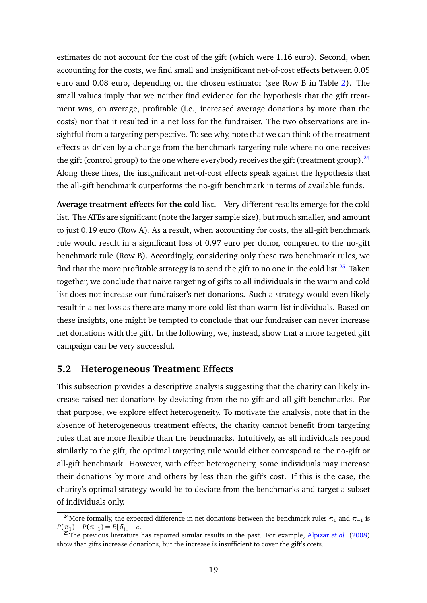estimates do not account for the cost of the gift (which were 1.16 euro). Second, when accounting for the costs, we find small and insignificant net-of-cost effects between 0.05 euro and 0.08 euro, depending on the chosen estimator (see Row B in Table [2\)](#page-18-2). The small values imply that we neither find evidence for the hypothesis that the gift treatment was, on average, profitable (i.e., increased average donations by more than the costs) nor that it resulted in a net loss for the fundraiser. The two observations are insightful from a targeting perspective. To see why, note that we can think of the treatment effects as driven by a change from the benchmark targeting rule where no one receives the gift (control group) to the one where everybody receives the gift (treatment group).  $^{24}$  $^{24}$  $^{24}$ Along these lines, the insignificant net-of-cost effects speak against the hypothesis that the all-gift benchmark outperforms the no-gift benchmark in terms of available funds.

**Average treatment effects for the cold list.** Very different results emerge for the cold list. The ATEs are significant (note the larger sample size), but much smaller, and amount to just 0.19 euro (Row A). As a result, when accounting for costs, the all-gift benchmark rule would result in a significant loss of 0.97 euro per donor, compared to the no-gift benchmark rule (Row B). Accordingly, considering only these two benchmark rules, we find that the more profitable strategy is to send the gift to no one in the cold list.<sup>[25](#page-19-2)</sup> Taken together, we conclude that naive targeting of gifts to all individuals in the warm and cold list does not increase our fundraiser's net donations. Such a strategy would even likely result in a net loss as there are many more cold-list than warm-list individuals. Based on these insights, one might be tempted to conclude that our fundraiser can never increase net donations with the gift. In the following, we, instead, show that a more targeted gift campaign can be very successful.

### <span id="page-19-0"></span>**5.2 Heterogeneous Treatment Effects**

This subsection provides a descriptive analysis suggesting that the charity can likely increase raised net donations by deviating from the no-gift and all-gift benchmarks. For that purpose, we explore effect heterogeneity. To motivate the analysis, note that in the absence of heterogeneous treatment effects, the charity cannot benefit from targeting rules that are more flexible than the benchmarks. Intuitively, as all individuals respond similarly to the gift, the optimal targeting rule would either correspond to the no-gift or all-gift benchmark. However, with effect heterogeneity, some individuals may increase their donations by more and others by less than the gift's cost. If this is the case, the charity's optimal strategy would be to deviate from the benchmarks and target a subset of individuals only.

<span id="page-19-1"></span><sup>&</sup>lt;sup>24</sup>More formally, the expected difference in net donations between the benchmark rules  $\pi_1$  and  $\pi_{-1}$  is  $P(\pi_1) - P(\pi_{-1}) = E[\delta_i] - c.$ 

<span id="page-19-2"></span><sup>25</sup>The previous literature has reported similar results in the past. For example, [Alpizar](#page-32-4) *et al.* [\(2008\)](#page-32-4) show that gifts increase donations, but the increase is insufficient to cover the gift's costs.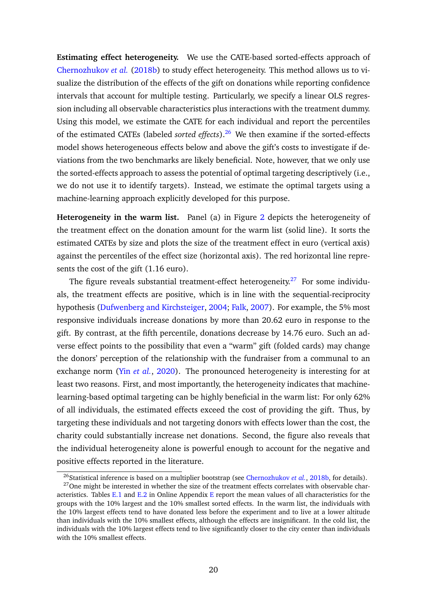**Estimating effect heterogeneity.** We use the CATE-based sorted-effects approach of [Chernozhukov](#page-33-12) *et al.* [\(2018b\)](#page-33-12) to study effect heterogeneity. This method allows us to visualize the distribution of the effects of the gift on donations while reporting confidence intervals that account for multiple testing. Particularly, we specify a linear OLS regression including all observable characteristics plus interactions with the treatment dummy. Using this model, we estimate the CATE for each individual and report the percentiles of the estimated CATEs (labeled *sorted effects*).[26](#page-20-0) We then examine if the sorted-effects model shows heterogeneous effects below and above the gift's costs to investigate if deviations from the two benchmarks are likely beneficial. Note, however, that we only use the sorted-effects approach to assess the potential of optimal targeting descriptively (i.e., we do not use it to identify targets). Instead, we estimate the optimal targets using a machine-learning approach explicitly developed for this purpose.

**Heterogeneity in the warm list.** Panel (a) in Figure [2](#page-21-1) depicts the heterogeneity of the treatment effect on the donation amount for the warm list (solid line). It sorts the estimated CATEs by size and plots the size of the treatment effect in euro (vertical axis) against the percentiles of the effect size (horizontal axis). The red horizontal line represents the cost of the gift (1.16 euro).

The figure reveals substantial treatment-effect heterogeneity.<sup>[27](#page-20-1)</sup> For some individuals, the treatment effects are positive, which is in line with the sequential-reciprocity hypothesis [\(Dufwenberg and Kirchsteiger,](#page-34-13) [2004;](#page-34-13) [Falk,](#page-34-0) [2007\)](#page-34-0). For example, the 5% most responsive individuals increase donations by more than 20.62 euro in response to the gift. By contrast, at the fifth percentile, donations decrease by 14.76 euro. Such an adverse effect points to the possibility that even a "warm" gift (folded cards) may change the donors' perception of the relationship with the fundraiser from a communal to an exchange norm (Yin *[et al.](#page-38-1)*, [2020\)](#page-38-1). The pronounced heterogeneity is interesting for at least two reasons. First, and most importantly, the heterogeneity indicates that machinelearning-based optimal targeting can be highly beneficial in the warm list: For only 62% of all individuals, the estimated effects exceed the cost of providing the gift. Thus, by targeting these individuals and not targeting donors with effects lower than the cost, the charity could substantially increase net donations. Second, the figure also reveals that the individual heterogeneity alone is powerful enough to account for the negative and positive effects reported in the literature.

<span id="page-20-1"></span><span id="page-20-0"></span><sup>&</sup>lt;sup>26</sup>Statistical inference is based on a multiplier bootstrap (see [Chernozhukov](#page-33-12) *et al.*, [2018b,](#page-33-12) for details).

 $27$ One might be interested in whether the size of the treatment effects correlates with observable char-acteristics. Tables [E.1](#page-47-0) and [E.2](#page-48-0) in Online Appendix [E](#page-18-0) report the mean values of all characteristics for the groups with the 10% largest and the 10% smallest sorted effects. In the warm list, the individuals with the 10% largest effects tend to have donated less before the experiment and to live at a lower altitude than individuals with the 10% smallest effects, although the effects are insignificant. In the cold list, the individuals with the 10% largest effects tend to live significantly closer to the city center than individuals with the 10% smallest effects.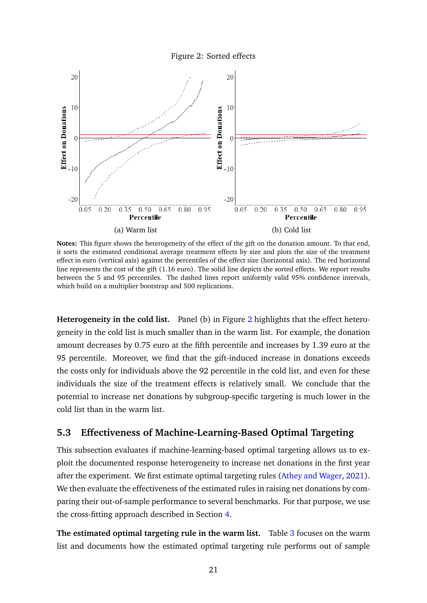Figure 2: Sorted effects

<span id="page-21-1"></span>

**Notes:** This figure shows the heterogeneity of the effect of the gift on the donation amount. To that end, it sorts the estimated conditional average treatment effects by size and plots the size of the treatment effect in euro (vertical axis) against the percentiles of the effect size (horizontal axis). The red horizontal line represents the cost of the gift (1.16 euro). The solid line depicts the sorted effects. We report results between the 5 and 95 percentiles. The dashed lines report uniformly valid 95% confidence intervals, which build on a multiplier bootstrap and 500 replications.

**Heterogeneity in the cold list.** Panel (b) in Figure [2](#page-21-1) highlights that the effect heterogeneity in the cold list is much smaller than in the warm list. For example, the donation amount decreases by 0.75 euro at the fifth percentile and increases by 1.39 euro at the 95 percentile. Moreover, we find that the gift-induced increase in donations exceeds the costs only for individuals above the 92 percentile in the cold list, and even for these individuals the size of the treatment effects is relatively small. We conclude that the potential to increase net donations by subgroup-specific targeting is much lower in the cold list than in the warm list.

#### <span id="page-21-0"></span>**5.3 Effectiveness of Machine-Learning-Based Optimal Targeting**

This subsection evaluates if machine-learning-based optimal targeting allows us to exploit the documented response heterogeneity to increase net donations in the first year after the experiment. We first estimate optimal targeting rules [\(Athey and Wager,](#page-33-3) [2021\)](#page-33-3). We then evaluate the effectiveness of the estimated rules in raising net donations by comparing their out-of-sample performance to several benchmarks. For that purpose, we use the cross-fitting approach described in Section [4.](#page-11-0)

**The estimated optimal targeting rule in the warm list.** Table [3](#page-22-0) focuses on the warm list and documents how the estimated optimal targeting rule performs out of sample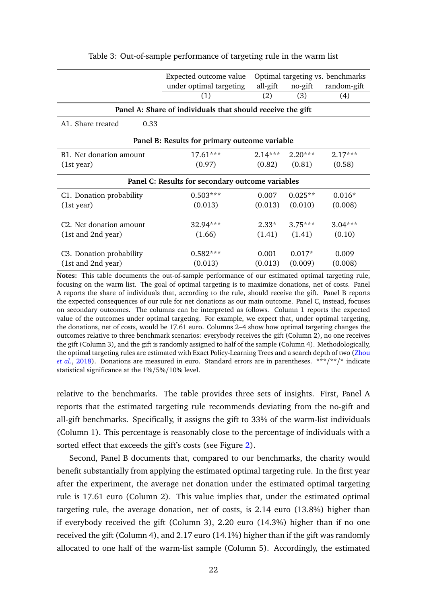<span id="page-22-0"></span>

|                                               | Expected outcome value                                     |                  |                     | Optimal targeting vs. benchmarks |  |  |  |  |  |  |
|-----------------------------------------------|------------------------------------------------------------|------------------|---------------------|----------------------------------|--|--|--|--|--|--|
|                                               | under optimal targeting                                    | all-gift         | no-gift             | random-gift                      |  |  |  |  |  |  |
|                                               | (1)                                                        | (2)              | (3)                 | (4)                              |  |  |  |  |  |  |
|                                               | Panel A: Share of individuals that should receive the gift |                  |                     |                                  |  |  |  |  |  |  |
| A1. Share treated<br>0.33                     |                                                            |                  |                     |                                  |  |  |  |  |  |  |
| Panel B: Results for primary outcome variable |                                                            |                  |                     |                                  |  |  |  |  |  |  |
| B1. Net donation amount                       | $17.61***$                                                 | $2.14***$        | $2.20***$           | $2.17***$                        |  |  |  |  |  |  |
| (1st year)                                    | (0.97)                                                     | (0.82)           | (0.81)              | (0.58)                           |  |  |  |  |  |  |
|                                               | Panel C: Results for secondary outcome variables           |                  |                     |                                  |  |  |  |  |  |  |
| C1. Donation probability                      | $0.503***$                                                 | 0.007            | $0.025**$           | $0.016*$                         |  |  |  |  |  |  |
| (1st year)                                    | (0.013)                                                    | (0.013)          | (0.010)             | (0.008)                          |  |  |  |  |  |  |
| C <sub>2</sub> . Net donation amount          | 32.94***                                                   | $2.33*$          | $3.75***$           | $3.04***$                        |  |  |  |  |  |  |
| (1st and 2nd year)                            | (1.66)                                                     | (1.41)           | (1.41)              | (0.10)                           |  |  |  |  |  |  |
| C3. Donation probability                      | $0.582***$<br>(0.013)                                      | 0.001<br>(0.013) | $0.017*$<br>(0.009) | 0.009                            |  |  |  |  |  |  |
| (1st and 2nd year)                            |                                                            |                  |                     | (0.008)                          |  |  |  |  |  |  |

Table 3: Out-of-sample performance of targeting rule in the warm list

**Notes:** This table documents the out-of-sample performance of our estimated optimal targeting rule, focusing on the warm list. The goal of optimal targeting is to maximize donations, net of costs. Panel A reports the share of individuals that, according to the rule, should receive the gift. Panel B reports the expected consequences of our rule for net donations as our main outcome. Panel C, instead, focuses on secondary outcomes. The columns can be interpreted as follows. Column 1 reports the expected value of the outcomes under optimal targeting. For example, we expect that, under optimal targeting, the donations, net of costs, would be 17.61 euro. Columns 2–4 show how optimal targeting changes the outcomes relative to three benchmark scenarios: everybody receives the gift (Column 2), no one receives the gift (Column 3), and the gift is randomly assigned to half of the sample (Column 4). Methodologically, the optimal targeting rules are estimated with Exact Policy-Learning Trees and a search depth of two [\(Zhou](#page-38-0) *[et al.](#page-38-0)*, [2018\)](#page-38-0). Donations are measured in euro. Standard errors are in parentheses. \*\*\*/\*\*/\* indicate statistical significance at the 1%/5%/10% level.

relative to the benchmarks. The table provides three sets of insights. First, Panel A reports that the estimated targeting rule recommends deviating from the no-gift and all-gift benchmarks. Specifically, it assigns the gift to 33% of the warm-list individuals (Column 1). This percentage is reasonably close to the percentage of individuals with a sorted effect that exceeds the gift's costs (see Figure [2\)](#page-21-1).

Second, Panel B documents that, compared to our benchmarks, the charity would benefit substantially from applying the estimated optimal targeting rule. In the first year after the experiment, the average net donation under the estimated optimal targeting rule is 17.61 euro (Column 2). This value implies that, under the estimated optimal targeting rule, the average donation, net of costs, is 2.14 euro (13.8%) higher than if everybody received the gift (Column 3), 2.20 euro (14.3%) higher than if no one received the gift (Column 4), and 2.17 euro (14.1%) higher than if the gift was randomly allocated to one half of the warm-list sample (Column 5). Accordingly, the estimated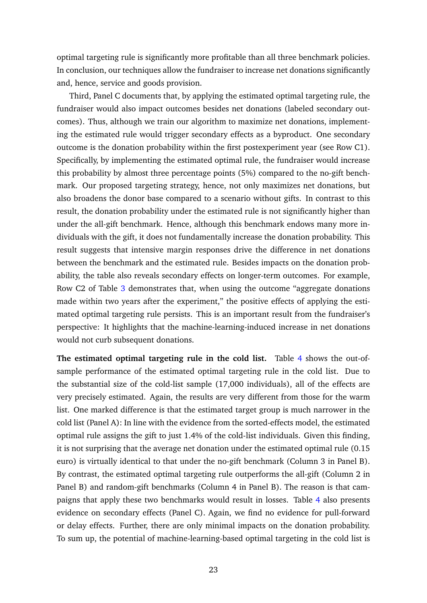optimal targeting rule is significantly more profitable than all three benchmark policies. In conclusion, our techniques allow the fundraiser to increase net donations significantly and, hence, service and goods provision.

Third, Panel C documents that, by applying the estimated optimal targeting rule, the fundraiser would also impact outcomes besides net donations (labeled secondary outcomes). Thus, although we train our algorithm to maximize net donations, implementing the estimated rule would trigger secondary effects as a byproduct. One secondary outcome is the donation probability within the first postexperiment year (see Row C1). Specifically, by implementing the estimated optimal rule, the fundraiser would increase this probability by almost three percentage points (5%) compared to the no-gift benchmark. Our proposed targeting strategy, hence, not only maximizes net donations, but also broadens the donor base compared to a scenario without gifts. In contrast to this result, the donation probability under the estimated rule is not significantly higher than under the all-gift benchmark. Hence, although this benchmark endows many more individuals with the gift, it does not fundamentally increase the donation probability. This result suggests that intensive margin responses drive the difference in net donations between the benchmark and the estimated rule. Besides impacts on the donation probability, the table also reveals secondary effects on longer-term outcomes. For example, Row C2 of Table [3](#page-22-0) demonstrates that, when using the outcome "aggregate donations made within two years after the experiment," the positive effects of applying the estimated optimal targeting rule persists. This is an important result from the fundraiser's perspective: It highlights that the machine-learning-induced increase in net donations would not curb subsequent donations.

**The estimated optimal targeting rule in the cold list.** Table [4](#page-24-1) shows the out-ofsample performance of the estimated optimal targeting rule in the cold list. Due to the substantial size of the cold-list sample (17,000 individuals), all of the effects are very precisely estimated. Again, the results are very different from those for the warm list. One marked difference is that the estimated target group is much narrower in the cold list (Panel A): In line with the evidence from the sorted-effects model, the estimated optimal rule assigns the gift to just 1.4% of the cold-list individuals. Given this finding, it is not surprising that the average net donation under the estimated optimal rule (0.15 euro) is virtually identical to that under the no-gift benchmark (Column 3 in Panel B). By contrast, the estimated optimal targeting rule outperforms the all-gift (Column 2 in Panel B) and random-gift benchmarks (Column 4 in Panel B). The reason is that campaigns that apply these two benchmarks would result in losses. Table [4](#page-24-1) also presents evidence on secondary effects (Panel C). Again, we find no evidence for pull-forward or delay effects. Further, there are only minimal impacts on the donation probability. To sum up, the potential of machine-learning-based optimal targeting in the cold list is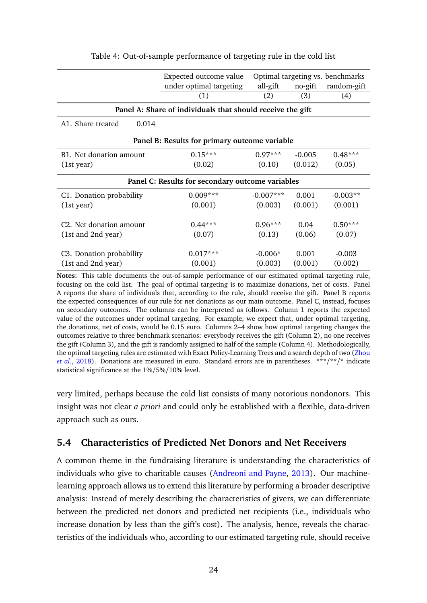<span id="page-24-1"></span>

|                                               | Expected outcome value<br>under optimal targeting          | all-gift    | no-gift  | Optimal targeting vs. benchmarks<br>random-gift |  |  |  |  |  |
|-----------------------------------------------|------------------------------------------------------------|-------------|----------|-------------------------------------------------|--|--|--|--|--|
|                                               | (1)                                                        | (2)         | (3)      | (4)                                             |  |  |  |  |  |
|                                               | Panel A: Share of individuals that should receive the gift |             |          |                                                 |  |  |  |  |  |
| A1. Share treated<br>0.014                    |                                                            |             |          |                                                 |  |  |  |  |  |
| Panel B: Results for primary outcome variable |                                                            |             |          |                                                 |  |  |  |  |  |
| B1. Net donation amount                       | $0.15***$                                                  | $0.97***$   | $-0.005$ | $0.48***$                                       |  |  |  |  |  |
| (1st year)                                    | (0.02)                                                     | (0.10)      | (0.012)  | (0.05)                                          |  |  |  |  |  |
|                                               | Panel C: Results for secondary outcome variables           |             |          |                                                 |  |  |  |  |  |
| C1. Donation probability                      | $0.009***$                                                 | $-0.007***$ | 0.001    | $-0.003**$                                      |  |  |  |  |  |
| (1st year)                                    | (0.001)                                                    | (0.003)     | (0.001)  | (0.001)                                         |  |  |  |  |  |
| C <sub>2</sub> . Net donation amount          | $0.44***$                                                  | $0.96***$   | 0.04     | $0.50***$                                       |  |  |  |  |  |
| (1st and 2nd year)                            | (0.07)                                                     | (0.13)      | (0.06)   | (0.07)                                          |  |  |  |  |  |
| C3. Donation probability                      | $0.017***$                                                 | $-0.006*$   | 0.001    | $-0.003$                                        |  |  |  |  |  |
| (1st and 2nd year)                            | (0.001)                                                    | (0.003)     | (0.001)  | (0.002)                                         |  |  |  |  |  |

Table 4: Out-of-sample performance of targeting rule in the cold list

**Notes:** This table documents the out-of-sample performance of our estimated optimal targeting rule, focusing on the cold list. The goal of optimal targeting is to maximize donations, net of costs. Panel A reports the share of individuals that, according to the rule, should receive the gift. Panel B reports the expected consequences of our rule for net donations as our main outcome. Panel C, instead, focuses on secondary outcomes. The columns can be interpreted as follows. Column 1 reports the expected value of the outcomes under optimal targeting. For example, we expect that, under optimal targeting, the donations, net of costs, would be 0.15 euro. Columns 2–4 show how optimal targeting changes the outcomes relative to three benchmark scenarios: everybody receives the gift (Column 2), no one receives the gift (Column 3), and the gift is randomly assigned to half of the sample (Column 4). Methodologically, the optimal targeting rules are estimated with Exact Policy-Learning Trees and a search depth of two [\(Zhou](#page-38-0) *[et al.](#page-38-0)*, [2018\)](#page-38-0). Donations are measured in euro. Standard errors are in parentheses. \*\*\*/\*\*/\* indicate statistical significance at the 1%/5%/10% level.

very limited, perhaps because the cold list consists of many notorious nondonors. This insight was not clear *a priori* and could only be established with a flexible, data-driven approach such as ours.

### <span id="page-24-0"></span>**5.4 Characteristics of Predicted Net Donors and Net Receivers**

A common theme in the fundraising literature is understanding the characteristics of individuals who give to charitable causes [\(Andreoni and Payne,](#page-33-1) [2013\)](#page-33-1). Our machinelearning approach allows us to extend this literature by performing a broader descriptive analysis: Instead of merely describing the characteristics of givers, we can differentiate between the predicted net donors and predicted net recipients (i.e., individuals who increase donation by less than the gift's cost). The analysis, hence, reveals the characteristics of the individuals who, according to our estimated targeting rule, should receive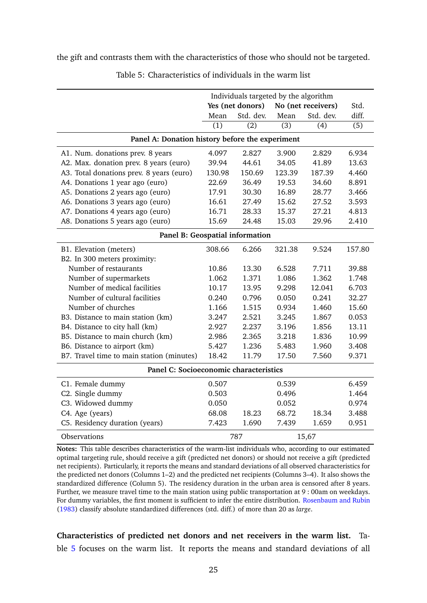<span id="page-25-0"></span>the gift and contrasts them with the characteristics of those who should not be targeted.

| Individuals targeted by the algorithm           |                  |                  |                  |                    |                  |  |  |  |  |  |
|-------------------------------------------------|------------------|------------------|------------------|--------------------|------------------|--|--|--|--|--|
|                                                 |                  | Yes (net donors) |                  | No (net receivers) | Std.             |  |  |  |  |  |
|                                                 | Mean             | Std. dev.        | Mean             | Std. dev.          | diff.            |  |  |  |  |  |
|                                                 | $\overline{(1)}$ | $\overline{(2)}$ | $\overline{(3)}$ | $\overline{(4)}$   | $\overline{(5)}$ |  |  |  |  |  |
| Panel A: Donation history before the experiment |                  |                  |                  |                    |                  |  |  |  |  |  |
| A1. Num. donations prev. 8 years                | 4.097            | 2.827            | 3.900            | 2.829              | 6.934            |  |  |  |  |  |
| A2. Max. donation prev. 8 years (euro)          | 39.94            | 44.61            | 34.05            | 41.89              | 13.63            |  |  |  |  |  |
| A3. Total donations prev. 8 years (euro)        | 130.98           | 150.69           | 123.39           | 187.39             | 4.460            |  |  |  |  |  |
| A4. Donations 1 year ago (euro)                 | 22.69            | 36.49            | 19.53            | 34.60              | 8.891            |  |  |  |  |  |
| A5. Donations 2 years ago (euro)                | 17.91            | 30.30            | 16.89            | 28.77              | 3.466            |  |  |  |  |  |
| A6. Donations 3 years ago (euro)                | 16.61            | 27.49            | 15.62            | 27.52              | 3.593            |  |  |  |  |  |
| A7. Donations 4 years ago (euro)                | 16.71            | 28.33            | 15.37            | 27.21              | 4.813            |  |  |  |  |  |
| A8. Donations 5 years ago (euro)                | 15.69            | 24.48            | 15.03            | 29.96              | 2.410            |  |  |  |  |  |
| Panel B: Geospatial information                 |                  |                  |                  |                    |                  |  |  |  |  |  |
| B1. Elevation (meters)                          | 308.66           | 6.266            | 321.38           | 9.524              | 157.80           |  |  |  |  |  |
| B2. In 300 meters proximity:                    |                  |                  |                  |                    |                  |  |  |  |  |  |
| Number of restaurants                           | 10.86            | 13.30            | 6.528            | 7.711              | 39.88            |  |  |  |  |  |
| Number of supermarkets                          | 1.062            | 1.371            | 1.086            | 1.362              | 1.748            |  |  |  |  |  |
| Number of medical facilities                    | 10.17            | 13.95            | 9.298            | 12.041             | 6.703            |  |  |  |  |  |
| Number of cultural facilities                   | 0.240            | 0.796            | 0.050            | 0.241              | 32.27            |  |  |  |  |  |
| Number of churches                              | 1.166            | 1.515            | 0.934            | 1.460              | 15.60            |  |  |  |  |  |
| B3. Distance to main station (km)               | 3.247            | 2.521            | 3.245            | 1.867              | 0.053            |  |  |  |  |  |
| B4. Distance to city hall (km)                  | 2.927            | 2.237            | 3.196            | 1.856              | 13.11            |  |  |  |  |  |
| B5. Distance to main church (km)                | 2.986            | 2.365            | 3.218            | 1.836              | 10.99            |  |  |  |  |  |
| B6. Distance to airport (km)                    | 5.427            | 1.236            | 5.483            | 1.960              | 3.408            |  |  |  |  |  |
| B7. Travel time to main station (minutes)       | 18.42            | 11.79            | 17.50            | 7.560              | 9.371            |  |  |  |  |  |
| Panel C: Socioeconomic characteristics          |                  |                  |                  |                    |                  |  |  |  |  |  |
| C1. Female dummy                                | 0.507            |                  | 0.539            |                    | 6.459            |  |  |  |  |  |
| C2. Single dummy                                | 0.503            |                  | 0.496            |                    | 1.464            |  |  |  |  |  |
| C3. Widowed dummy                               | 0.050            |                  | 0.052            |                    | 0.974            |  |  |  |  |  |
| C4. Age (years)                                 | 68.08            | 18.23            | 68.72            | 18.34              | 3.488            |  |  |  |  |  |
| C5. Residency duration (years)                  | 7.423            | 1.690            | 7.439            | 1.659              | 0.951            |  |  |  |  |  |
| Observations                                    |                  | 787              |                  | 15,67              |                  |  |  |  |  |  |

Table 5: Characteristics of individuals in the warm list

**Notes:** This table describes characteristics of the warm-list individuals who, according to our estimated optimal targeting rule, should receive a gift (predicted net donors) or should not receive a gift (predicted net recipients). Particularly, it reports the means and standard deviations of all observed characteristics for the predicted net donors (Columns 1–2) and the predicted net recipients (Columns 3–4). It also shows the standardized difference (Column 5). The residency duration in the urban area is censored after 8 years. Further, we measure travel time to the main station using public transportation at 9 : 00am on weekdays. For dummy variables, the first moment is sufficient to infer the entire distribution. [Rosenbaum and Rubin](#page-37-12) [\(1983\)](#page-37-12) classify absolute standardized differences (std. diff.) of more than 20 as *large*.

**Characteristics of predicted net donors and net receivers in the warm list.** Table [5](#page-25-0) focuses on the warm list. It reports the means and standard deviations of all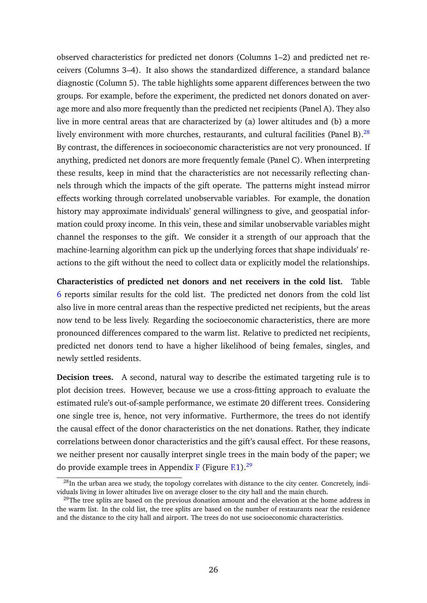observed characteristics for predicted net donors (Columns 1–2) and predicted net receivers (Columns 3–4). It also shows the standardized difference, a standard balance diagnostic (Column 5). The table highlights some apparent differences between the two groups. For example, before the experiment, the predicted net donors donated on average more and also more frequently than the predicted net recipients (Panel A). They also live in more central areas that are characterized by (a) lower altitudes and (b) a more lively environment with more churches, restaurants, and cultural facilities (Panel B). $^{28}$  $^{28}$  $^{28}$ By contrast, the differences in socioeconomic characteristics are not very pronounced. If anything, predicted net donors are more frequently female (Panel C). When interpreting these results, keep in mind that the characteristics are not necessarily reflecting channels through which the impacts of the gift operate. The patterns might instead mirror effects working through correlated unobservable variables. For example, the donation history may approximate individuals' general willingness to give, and geospatial information could proxy income. In this vein, these and similar unobservable variables might channel the responses to the gift. We consider it a strength of our approach that the machine-learning algorithm can pick up the underlying forces that shape individuals' reactions to the gift without the need to collect data or explicitly model the relationships.

**Characteristics of predicted net donors and net receivers in the cold list.** Table [6](#page-27-1) reports similar results for the cold list. The predicted net donors from the cold list also live in more central areas than the respective predicted net recipients, but the areas now tend to be less lively. Regarding the socioeconomic characteristics, there are more pronounced differences compared to the warm list. Relative to predicted net recipients, predicted net donors tend to have a higher likelihood of being females, singles, and newly settled residents.

**Decision trees.** A second, natural way to describe the estimated targeting rule is to plot decision trees. However, because we use a cross-fitting approach to evaluate the estimated rule's out-of-sample performance, we estimate 20 different trees. Considering one single tree is, hence, not very informative. Furthermore, the trees do not identify the causal effect of the donor characteristics on the net donations. Rather, they indicate correlations between donor characteristics and the gift's causal effect. For these reasons, we neither present nor causally interpret single trees in the main body of the paper; we do provide example trees in Appendix [F](#page-31-0) (Figure  $F<sub>1</sub>$ ).<sup>[29](#page-26-1)</sup>

<span id="page-26-0"></span> $^{28}$ In the urban area we study, the topology correlates with distance to the city center. Concretely, individuals living in lower altitudes live on average closer to the city hall and the main church.

<span id="page-26-1"></span> $^{29}$ The tree splits are based on the previous donation amount and the elevation at the home address in the warm list. In the cold list, the tree splits are based on the number of restaurants near the residence and the distance to the city hall and airport. The trees do not use socioeconomic characteristics.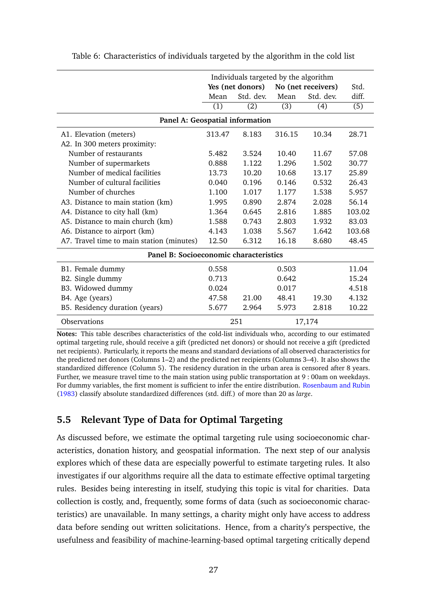|                                           | Individuals targeted by the algorithm |                  |        |                    |        |  |  |  |  |  |
|-------------------------------------------|---------------------------------------|------------------|--------|--------------------|--------|--|--|--|--|--|
|                                           |                                       | Yes (net donors) |        | No (net receivers) | Std.   |  |  |  |  |  |
|                                           | Mean                                  | Std. dev.        | Mean   | Std. dev.          | diff.  |  |  |  |  |  |
|                                           | (1)                                   | (2)              | (3)    | (4)                | (5)    |  |  |  |  |  |
| Panel A: Geospatial information           |                                       |                  |        |                    |        |  |  |  |  |  |
| A1. Elevation (meters)                    | 313.47                                | 8.183            | 316.15 | 10.34              | 28.71  |  |  |  |  |  |
| A2. In 300 meters proximity:              |                                       |                  |        |                    |        |  |  |  |  |  |
| Number of restaurants                     | 5.482                                 | 3.524            | 10.40  | 11.67              | 57.08  |  |  |  |  |  |
| Number of supermarkets                    | 0.888                                 | 1.122            | 1.296  | 1.502              | 30.77  |  |  |  |  |  |
| Number of medical facilities              | 13.73                                 | 10.20            | 10.68  | 13.17              | 25.89  |  |  |  |  |  |
| Number of cultural facilities             | 0.040                                 | 0.196            | 0.146  | 0.532              | 26.43  |  |  |  |  |  |
| Number of churches                        | 1.100                                 | 1.017            | 1.177  | 1.538              | 5.957  |  |  |  |  |  |
| A3. Distance to main station (km)         | 1.995                                 | 0.890            | 2.874  | 2.028              | 56.14  |  |  |  |  |  |
| A4. Distance to city hall (km)            | 1.364                                 | 0.645            | 2.816  | 1.885              | 103.02 |  |  |  |  |  |
| A5. Distance to main church (km)          | 1.588                                 | 0.743            | 2.803  | 1.932              | 83.03  |  |  |  |  |  |
| A6. Distance to airport (km)              | 4.143                                 | 1.038            | 5.567  | 1.642              | 103.68 |  |  |  |  |  |
| A7. Travel time to main station (minutes) | 12.50                                 | 6.312            | 16.18  | 8.680              | 48.45  |  |  |  |  |  |
| Panel B: Socioeconomic characteristics    |                                       |                  |        |                    |        |  |  |  |  |  |
| B1. Female dummy                          | 0.558                                 |                  | 0.503  |                    | 11.04  |  |  |  |  |  |
| B2. Single dummy                          | 0.713                                 |                  | 0.642  |                    | 15.24  |  |  |  |  |  |
| B3. Widowed dummy                         | 0.024                                 |                  | 0.017  |                    | 4.518  |  |  |  |  |  |
| B4. Age (years)                           | 47.58                                 | 21.00            | 48.41  | 19.30              | 4.132  |  |  |  |  |  |
| B5. Residency duration (years)            | 5.677                                 | 2.964            | 5.973  | 2.818              | 10.22  |  |  |  |  |  |
| Observations                              |                                       | 251              |        | 17,174             |        |  |  |  |  |  |

<span id="page-27-1"></span>Table 6: Characteristics of individuals targeted by the algorithm in the cold list

**Notes:** This table describes characteristics of the cold-list individuals who, according to our estimated optimal targeting rule, should receive a gift (predicted net donors) or should not receive a gift (predicted net recipients). Particularly, it reports the means and standard deviations of all observed characteristics for the predicted net donors (Columns 1–2) and the predicted net recipients (Columns 3–4). It also shows the standardized difference (Column 5). The residency duration in the urban area is censored after 8 years. Further, we measure travel time to the main station using public transportation at 9 : 00am on weekdays. For dummy variables, the first moment is sufficient to infer the entire distribution. [Rosenbaum and Rubin](#page-37-12) [\(1983\)](#page-37-12) classify absolute standardized differences (std. diff.) of more than 20 as *large*.

### <span id="page-27-0"></span>**5.5 Relevant Type of Data for Optimal Targeting**

As discussed before, we estimate the optimal targeting rule using socioeconomic characteristics, donation history, and geospatial information. The next step of our analysis explores which of these data are especially powerful to estimate targeting rules. It also investigates if our algorithms require all the data to estimate effective optimal targeting rules. Besides being interesting in itself, studying this topic is vital for charities. Data collection is costly, and, frequently, some forms of data (such as socioeconomic characteristics) are unavailable. In many settings, a charity might only have access to address data before sending out written solicitations. Hence, from a charity's perspective, the usefulness and feasibility of machine-learning-based optimal targeting critically depend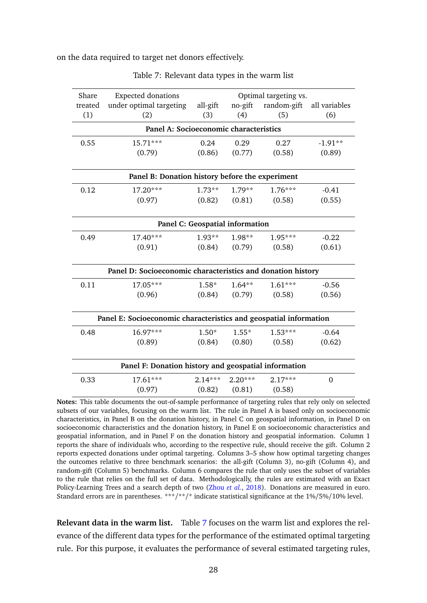<span id="page-28-0"></span>on the data required to target net donors effectively.

| Share                                  | <b>Expected donations</b>                                         |           |           | Optimal targeting vs.      |               |  |  |  |  |  |
|----------------------------------------|-------------------------------------------------------------------|-----------|-----------|----------------------------|---------------|--|--|--|--|--|
| treated                                | under optimal targeting                                           | all-gift  | no-gift   | random-gift                | all variables |  |  |  |  |  |
| (1)                                    | (2)                                                               | (3)       | (4)       | (5)                        | (6)           |  |  |  |  |  |
| Panel A: Socioeconomic characteristics |                                                                   |           |           |                            |               |  |  |  |  |  |
| 0.55                                   | $15.71***$                                                        | 0.24      | 0.29      | 0.27                       | $-1.91**$     |  |  |  |  |  |
|                                        | (0.79)                                                            | (0.86)    | (0.77)    | (0.58)                     | (0.89)        |  |  |  |  |  |
|                                        | Panel B: Donation history before the experiment                   |           |           |                            |               |  |  |  |  |  |
| 0.12                                   | 17.20***                                                          | $1.73**$  | $1.79**$  | $1.76***$                  | $-0.41$       |  |  |  |  |  |
|                                        | (0.97)                                                            | (0.82)    |           | $(0.81)$ $(0.58)$          | (0.55)        |  |  |  |  |  |
|                                        | Panel C: Geospatial information                                   |           |           |                            |               |  |  |  |  |  |
| 0.49                                   | 17.40***                                                          | $1.93**$  | $1.98**$  | 1.95***                    | $-0.22$       |  |  |  |  |  |
|                                        | (0.91)                                                            |           |           | $(0.84)$ $(0.79)$ $(0.58)$ | (0.61)        |  |  |  |  |  |
|                                        | Panel D: Socioeconomic characteristics and donation history       |           |           |                            |               |  |  |  |  |  |
| 0.11                                   | 17.05***                                                          | $1.58*$   | $1.64**$  | $1.61***$                  | $-0.56$       |  |  |  |  |  |
|                                        | (0.96)                                                            | (0.84)    |           | $(0.79)$ $(0.58)$          | (0.56)        |  |  |  |  |  |
|                                        | Panel E: Socioeconomic characteristics and geospatial information |           |           |                            |               |  |  |  |  |  |
| 0.48                                   | 16.97***                                                          | $1.50*$   | $1.55*$   | $1.53***$                  | $-0.64$       |  |  |  |  |  |
|                                        | (0.89)                                                            | (0.84)    | (0.80)    | (0.58)                     | (0.62)        |  |  |  |  |  |
|                                        | Panel F: Donation history and geospatial information              |           |           |                            |               |  |  |  |  |  |
| 0.33                                   | 17.61***                                                          | $2.14***$ | $2.20***$ | $2.17***$                  | 0             |  |  |  |  |  |
|                                        | (0.97)                                                            | (0.82)    | (0.81)    | (0.58)                     |               |  |  |  |  |  |

Table 7: Relevant data types in the warm list

**Notes:** This table documents the out-of-sample performance of targeting rules that rely only on selected subsets of our variables, focusing on the warm list. The rule in Panel A is based only on socioeconomic characteristics, in Panel B on the donation history, in Panel C on geospatial information, in Panel D on socioeconomic characteristics and the donation history, in Panel E on socioeconomic characteristics and geospatial information, and in Panel F on the donation history and geospatial information. Column 1 reports the share of individuals who, according to the respective rule, should receive the gift. Column 2 reports expected donations under optimal targeting. Columns 3–5 show how optimal targeting changes the outcomes relative to three benchmark scenarios: the all-gift (Column 3), no-gift (Column 4), and random-gift (Column 5) benchmarks. Column 6 compares the rule that only uses the subset of variables to the rule that relies on the full set of data. Methodologically, the rules are estimated with an Exact Policy-Learning Trees and a search depth of two [\(Zhou](#page-38-0) *et al.*, [2018\)](#page-38-0). Donations are measured in euro. Standard errors are in parentheses. \*\*\*/\*\*/\* indicate statistical significance at the 1%/5%/10% level.

**Relevant data in the warm list.** Table [7](#page-28-0) focuses on the warm list and explores the relevance of the different data types for the performance of the estimated optimal targeting rule. For this purpose, it evaluates the performance of several estimated targeting rules,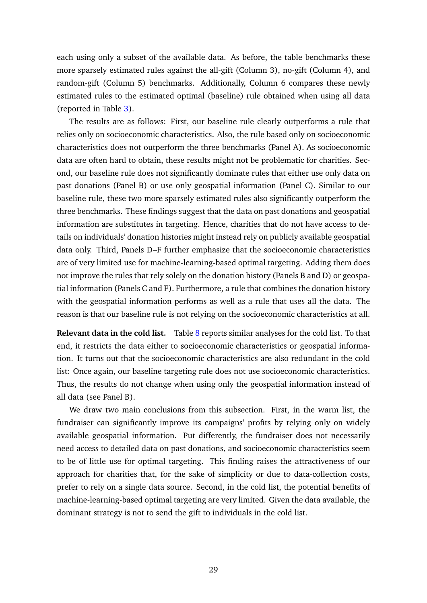each using only a subset of the available data. As before, the table benchmarks these more sparsely estimated rules against the all-gift (Column 3), no-gift (Column 4), and random-gift (Column 5) benchmarks. Additionally, Column 6 compares these newly estimated rules to the estimated optimal (baseline) rule obtained when using all data (reported in Table [3\)](#page-22-0).

The results are as follows: First, our baseline rule clearly outperforms a rule that relies only on socioeconomic characteristics. Also, the rule based only on socioeconomic characteristics does not outperform the three benchmarks (Panel A). As socioeconomic data are often hard to obtain, these results might not be problematic for charities. Second, our baseline rule does not significantly dominate rules that either use only data on past donations (Panel B) or use only geospatial information (Panel C). Similar to our baseline rule, these two more sparsely estimated rules also significantly outperform the three benchmarks. These findings suggest that the data on past donations and geospatial information are substitutes in targeting. Hence, charities that do not have access to details on individuals' donation histories might instead rely on publicly available geospatial data only. Third, Panels D–F further emphasize that the socioeconomic characteristics are of very limited use for machine-learning-based optimal targeting. Adding them does not improve the rules that rely solely on the donation history (Panels B and D) or geospatial information (Panels C and F). Furthermore, a rule that combines the donation history with the geospatial information performs as well as a rule that uses all the data. The reason is that our baseline rule is not relying on the socioeconomic characteristics at all.

**Relevant data in the cold list.** Table [8](#page-30-1) reports similar analyses for the cold list. To that end, it restricts the data either to socioeconomic characteristics or geospatial information. It turns out that the socioeconomic characteristics are also redundant in the cold list: Once again, our baseline targeting rule does not use socioeconomic characteristics. Thus, the results do not change when using only the geospatial information instead of all data (see Panel B).

We draw two main conclusions from this subsection. First, in the warm list, the fundraiser can significantly improve its campaigns' profits by relying only on widely available geospatial information. Put differently, the fundraiser does not necessarily need access to detailed data on past donations, and socioeconomic characteristics seem to be of little use for optimal targeting. This finding raises the attractiveness of our approach for charities that, for the sake of simplicity or due to data-collection costs, prefer to rely on a single data source. Second, in the cold list, the potential benefits of machine-learning-based optimal targeting are very limited. Given the data available, the dominant strategy is not to send the gift to individuals in the cold list.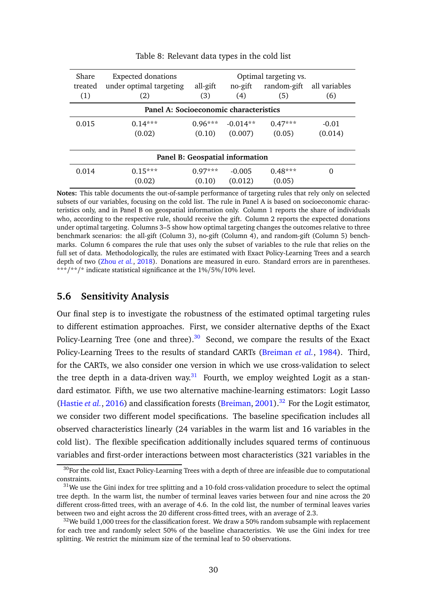<span id="page-30-1"></span>

| <b>Expected donations</b><br>Share<br>Optimal targeting vs. |                         |           |                                 |             |               |  |  |  |  |
|-------------------------------------------------------------|-------------------------|-----------|---------------------------------|-------------|---------------|--|--|--|--|
| treated                                                     | under optimal targeting | all-gift  | no-gift                         | random-gift | all variables |  |  |  |  |
| (1)                                                         | (2)                     | (3)       | (4)                             | (5)         | (6)           |  |  |  |  |
| Panel A: Socioeconomic characteristics                      |                         |           |                                 |             |               |  |  |  |  |
| 0.015                                                       | $0.14***$               | $0.96***$ | $-0.014**$                      | $0.47***$   | $-0.01$       |  |  |  |  |
|                                                             | (0.02)                  | (0.10)    | (0.007)                         | (0.05)      | (0.014)       |  |  |  |  |
|                                                             |                         |           |                                 |             |               |  |  |  |  |
|                                                             |                         |           | Panel B: Geospatial information |             |               |  |  |  |  |
| 0.014                                                       | $0.15***$               | $0.97***$ | $-0.005$                        | $0.48***$   | 0             |  |  |  |  |
|                                                             | (0.02)                  | (0.10)    | (0.012)                         | (0.05)      |               |  |  |  |  |

Table 8: Relevant data types in the cold list

**Notes:** This table documents the out-of-sample performance of targeting rules that rely only on selected subsets of our variables, focusing on the cold list. The rule in Panel A is based on socioeconomic characteristics only, and in Panel B on geospatial information only. Column 1 reports the share of individuals who, according to the respective rule, should receive the gift. Column 2 reports the expected donations under optimal targeting. Columns 3–5 show how optimal targeting changes the outcomes relative to three benchmark scenarios: the all-gift (Column 3), no-gift (Column 4), and random-gift (Column 5) benchmarks. Column 6 compares the rule that uses only the subset of variables to the rule that relies on the full set of data. Methodologically, the rules are estimated with Exact Policy-Learning Trees and a search depth of two [\(Zhou](#page-38-0) *et al.*, [2018\)](#page-38-0). Donations are measured in euro. Standard errors are in parentheses. \*\*\*/\*\*/\* indicate statistical significance at the 1%/5%/10% level.

### <span id="page-30-0"></span>**5.6 Sensitivity Analysis**

Our final step is to investigate the robustness of the estimated optimal targeting rules to different estimation approaches. First, we consider alternative depths of the Exact Policy-Learning Tree (one and three).<sup>[30](#page-30-2)</sup> Second, we compare the results of the Exact Policy-Learning Trees to the results of standard CARTs [\(Breiman](#page-33-10) *et al.*, [1984\)](#page-33-10). Third, for the CARTs, we also consider one version in which we use cross-validation to select the tree depth in a data-driven way. $31$  Fourth, we employ weighted Logit as a standard estimator. Fifth, we use two alternative machine-learning estimators: Logit Lasso [\(Hastie](#page-35-12) *et al.*, [2016\)](#page-35-12) and classification forests [\(Breiman,](#page-33-13) [2001\)](#page-33-13).<sup>[32](#page-30-4)</sup> For the Logit estimator, we consider two different model specifications. The baseline specification includes all observed characteristics linearly (24 variables in the warm list and 16 variables in the cold list). The flexible specification additionally includes squared terms of continuous variables and first-order interactions between most characteristics (321 variables in the

<span id="page-30-2"></span> $30$  For the cold list, Exact Policy-Learning Trees with a depth of three are infeasible due to computational constraints.

<span id="page-30-3"></span><sup>&</sup>lt;sup>31</sup>We use the Gini index for tree splitting and a 10-fold cross-validation procedure to select the optimal tree depth. In the warm list, the number of terminal leaves varies between four and nine across the 20 different cross-fitted trees, with an average of 4.6. In the cold list, the number of terminal leaves varies between two and eight across the 20 different cross-fitted trees, with an average of 2.3.

<span id="page-30-4"></span> $32$ We build 1,000 trees for the classification forest. We draw a 50% random subsample with replacement for each tree and randomly select 50% of the baseline characteristics. We use the Gini index for tree splitting. We restrict the minimum size of the terminal leaf to 50 observations.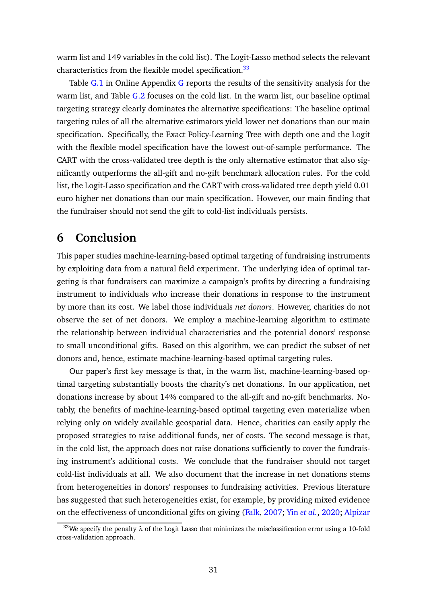warm list and 149 variables in the cold list). The Logit-Lasso method selects the relevant characteristics from the flexible model specification.<sup>[33](#page-31-1)</sup>

Table [G.1](#page-50-1) in Online Appendix [G](#page-50-0) reports the results of the sensitivity analysis for the warm list, and Table [G.2](#page-51-0) focuses on the cold list. In the warm list, our baseline optimal targeting strategy clearly dominates the alternative specifications: The baseline optimal targeting rules of all the alternative estimators yield lower net donations than our main specification. Specifically, the Exact Policy-Learning Tree with depth one and the Logit with the flexible model specification have the lowest out-of-sample performance. The CART with the cross-validated tree depth is the only alternative estimator that also significantly outperforms the all-gift and no-gift benchmark allocation rules. For the cold list, the Logit-Lasso specification and the CART with cross-validated tree depth yield 0.01 euro higher net donations than our main specification. However, our main finding that the fundraiser should not send the gift to cold-list individuals persists.

## <span id="page-31-0"></span>**6 Conclusion**

This paper studies machine-learning-based optimal targeting of fundraising instruments by exploiting data from a natural field experiment. The underlying idea of optimal targeting is that fundraisers can maximize a campaign's profits by directing a fundraising instrument to individuals who increase their donations in response to the instrument by more than its cost. We label those individuals *net donors*. However, charities do not observe the set of net donors. We employ a machine-learning algorithm to estimate the relationship between individual characteristics and the potential donors' response to small unconditional gifts. Based on this algorithm, we can predict the subset of net donors and, hence, estimate machine-learning-based optimal targeting rules.

Our paper's first key message is that, in the warm list, machine-learning-based optimal targeting substantially boosts the charity's net donations. In our application, net donations increase by about 14% compared to the all-gift and no-gift benchmarks. Notably, the benefits of machine-learning-based optimal targeting even materialize when relying only on widely available geospatial data. Hence, charities can easily apply the proposed strategies to raise additional funds, net of costs. The second message is that, in the cold list, the approach does not raise donations sufficiently to cover the fundraising instrument's additional costs. We conclude that the fundraiser should not target cold-list individuals at all. We also document that the increase in net donations stems from heterogeneities in donors' responses to fundraising activities. Previous literature has suggested that such heterogeneities exist, for example, by providing mixed evidence on the effectiveness of unconditional gifts on giving [\(Falk,](#page-34-0) [2007;](#page-34-0) Yin *[et al.](#page-38-1)*, [2020;](#page-38-1) [Alpizar](#page-32-4)

<span id="page-31-1"></span><sup>&</sup>lt;sup>33</sup>We specify the penalty  $\lambda$  [of the Logit Lasso that minimizes the misclassification error using a 10-fold](#page-32-4) [cross-validation approach.](#page-32-4)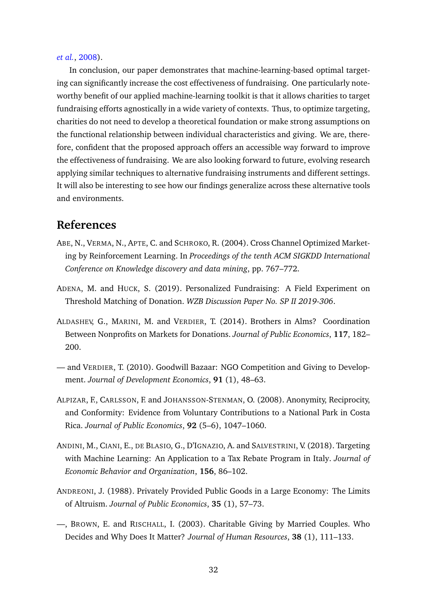#### *[et al.](#page-32-4)*, [2008\)](#page-32-4).

In conclusion, our paper demonstrates that machine-learning-based optimal targeting can significantly increase the cost effectiveness of fundraising. One particularly noteworthy benefit of our applied machine-learning toolkit is that it allows charities to target fundraising efforts agnostically in a wide variety of contexts. Thus, to optimize targeting, charities do not need to develop a theoretical foundation or make strong assumptions on the functional relationship between individual characteristics and giving. We are, therefore, confident that the proposed approach offers an accessible way forward to improve the effectiveness of fundraising. We are also looking forward to future, evolving research applying similar techniques to alternative fundraising instruments and different settings. It will also be interesting to see how our findings generalize across these alternative tools and environments.

### **References**

- <span id="page-32-7"></span>ABE, N., VERMA, N., APTE, C. and SCHROKO, R. (2004). Cross Channel Optimized Marketing by Reinforcement Learning. In *Proceedings of the tenth ACM SIGKDD International Conference on Knowledge discovery and data mining*, pp. 767–772.
- <span id="page-32-3"></span>ADENA, M. and HUCK, S. (2019). Personalized Fundraising: A Field Experiment on Threshold Matching of Donation. *WZB Discussion Paper No. SP II 2019-306*.
- <span id="page-32-2"></span>ALDASHEV, G., MARINI, M. and VERDIER, T. (2014). Brothers in Alms? Coordination Between Nonprofits on Markets for Donations. *Journal of Public Economics*, **117**, 182– 200.
- <span id="page-32-1"></span>— and VERDIER, T. (2010). Goodwill Bazaar: NGO Competition and Giving to Development. *Journal of Development Economics*, **91** (1), 48–63.
- <span id="page-32-4"></span>ALPIZAR, F., CARLSSON, F. and JOHANSSON-STENMAN, O. (2008). Anonymity, Reciprocity, and Conformity: Evidence from Voluntary Contributions to a National Park in Costa Rica. *Journal of Public Economics*, **92** (5–6), 1047–1060.
- <span id="page-32-6"></span>ANDINI, M., CIANI, E., DE BLASIO, G., D'IGNAZIO, A. and SALVESTRINI, V. (2018). Targeting with Machine Learning: An Application to a Tax Rebate Program in Italy. *Journal of Economic Behavior and Organization*, **156**, 86–102.
- <span id="page-32-0"></span>ANDREONI, J. (1988). Privately Provided Public Goods in a Large Economy: The Limits of Altruism. *Journal of Public Economics*, **35** (1), 57–73.
- <span id="page-32-5"></span>—, BROWN, E. and RISCHALL, I. (2003). Charitable Giving by Married Couples. Who Decides and Why Does It Matter? *Journal of Human Resources*, **38** (1), 111–133.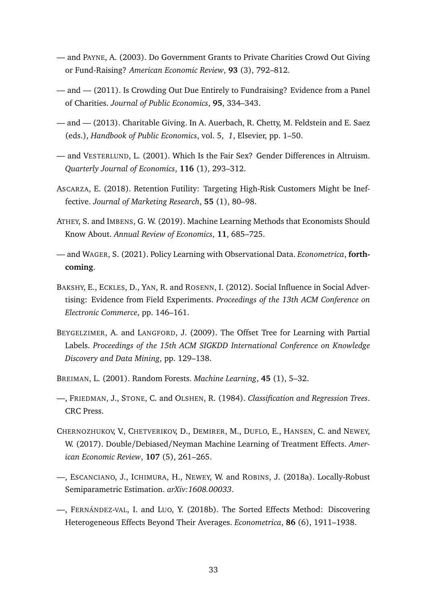- <span id="page-33-4"></span>— and PAYNE, A. (2003). Do Government Grants to Private Charities Crowd Out Giving or Fund-Raising? *American Economic Review*, **93** (3), 792–812.
- <span id="page-33-0"></span>— and — (2011). Is Crowding Out Due Entirely to Fundraising? Evidence from a Panel of Charities. *Journal of Public Economics*, **95**, 334–343.
- <span id="page-33-1"></span>— and — (2013). Charitable Giving. In A. Auerbach, R. Chetty, M. Feldstein and E. Saez (eds.), *Handbook of Public Economics*, vol. 5, *1*, Elsevier, pp. 1–50.
- <span id="page-33-5"></span>— and VESTERLUND, L. (2001). Which Is the Fair Sex? Gender Differences in Altruism. *Quarterly Journal of Economics*, **116** (1), 293–312.
- <span id="page-33-7"></span>ASCARZA, E. (2018). Retention Futility: Targeting High-Risk Customers Might be Ineffective. *Journal of Marketing Research*, **55** (1), 80–98.
- <span id="page-33-2"></span>ATHEY, S. and IMBENS, G. W. (2019). Machine Learning Methods that Economists Should Know About. *Annual Review of Economics*, **11**, 685–725.
- <span id="page-33-3"></span>— and WAGER, S. (2021). Policy Learning with Observational Data. *Econometrica*, **forthcoming**.
- <span id="page-33-6"></span>BAKSHY, E., ECKLES, D., YAN, R. and ROSENN, I. (2012). Social Influence in Social Advertising: Evidence from Field Experiments. *Proceedings of the 13th ACM Conference on Electronic Commerce*, pp. 146–161.
- <span id="page-33-8"></span>BEYGELZIMER, A. and LANGFORD, J. (2009). The Offset Tree for Learning with Partial Labels. *Proceedings of the 15th ACM SIGKDD International Conference on Knowledge Discovery and Data Mining*, pp. 129–138.
- <span id="page-33-13"></span>BREIMAN, L. (2001). Random Forests. *Machine Learning*, **45** (1), 5–32.
- <span id="page-33-10"></span>—, FRIEDMAN, J., STONE, C. and OLSHEN, R. (1984). *Classification and Regression Trees*. CRC Press.
- <span id="page-33-9"></span>CHERNOZHUKOV, V., CHETVERIKOV, D., DEMIRER, M., DUFLO, E., HANSEN, C. and NEWEY, W. (2017). Double/Debiased/Neyman Machine Learning of Treatment Effects. *American Economic Review*, **107** (5), 261–265.
- <span id="page-33-11"></span>—, ESCANCIANO, J., ICHIMURA, H., NEWEY, W. and ROBINS, J. (2018a). Locally-Robust Semiparametric Estimation. *arXiv:1608.00033*.
- <span id="page-33-12"></span>—, FERNÁNDEZ-VAL, I. and LUO, Y. (2018b). The Sorted Effects Method: Discovering Heterogeneous Effects Beyond Their Averages. *Econometrica*, **86** (6), 1911–1938.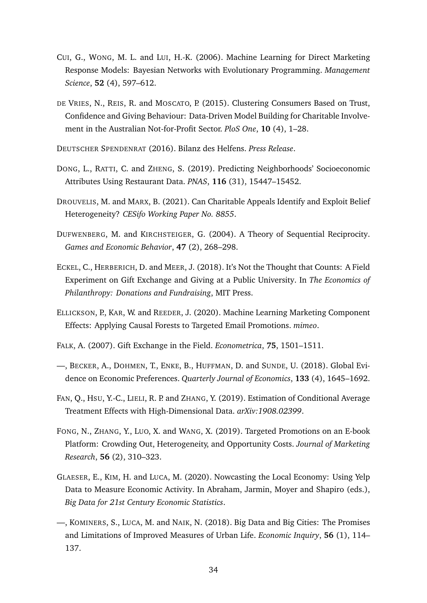- <span id="page-34-10"></span>CUI, G., WONG, M. L. and LUI, H.-K. (2006). Machine Learning for Direct Marketing Response Models: Bayesian Networks with Evolutionary Programming. *Management Science*, **52** (4), 597–612.
- <span id="page-34-3"></span>DE VRIES, N., REIS, R. and MOSCATO, P. (2015). Clustering Consumers Based on Trust, Confidence and Giving Behaviour: Data-Driven Model Building for Charitable Involvement in the Australian Not-for-Profit Sector. *PloS One*, **10** (4), 1–28.
- <span id="page-34-11"></span>DEUTSCHER SPENDENRAT (2016). Bilanz des Helfens. *Press Release*.
- <span id="page-34-7"></span>DONG, L., RATTI, C. and ZHENG, S. (2019). Predicting Neighborhoods' Socioeconomic Attributes Using Restaurant Data. *PNAS*, **116** (31), 15447–15452.
- <span id="page-34-2"></span>DROUVELIS, M. and MARX, B. (2021). Can Charitable Appeals Identify and Exploit Belief Heterogeneity? *CESifo Working Paper No. 8855*.
- <span id="page-34-13"></span>DUFWENBERG, M. and KIRCHSTEIGER, G. (2004). A Theory of Sequential Reciprocity. *Games and Economic Behavior*, **47** (2), 268–298.
- <span id="page-34-6"></span>ECKEL, C., HERBERICH, D. and MEER, J. (2018). It's Not the Thought that Counts: A Field Experiment on Gift Exchange and Giving at a Public University. In *The Economics of Philanthropy: Donations and Fundraising*, MIT Press.
- <span id="page-34-5"></span>ELLICKSON, P., KAR, W. and REEDER, J. (2020). Machine Learning Marketing Component Effects: Applying Causal Forests to Targeted Email Promotions. *mimeo*.
- <span id="page-34-0"></span>FALK, A. (2007). Gift Exchange in the Field. *Econometrica*, **75**, 1501–1511.
- <span id="page-34-1"></span>—, BECKER, A., DOHMEN, T., ENKE, B., HUFFMAN, D. and SUNDE, U. (2018). Global Evidence on Economic Preferences. *Quarterly Journal of Economics*, **133** (4), 1645–1692.
- <span id="page-34-12"></span>FAN, Q., HSU, Y.-C., LIELI, R. P. and ZHANG, Y. (2019). Estimation of Conditional Average Treatment Effects with High-Dimensional Data. *arXiv:1908.02399*.
- <span id="page-34-4"></span>FONG, N., ZHANG, Y., LUO, X. and WANG, X. (2019). Targeted Promotions on an E-book Platform: Crowding Out, Heterogeneity, and Opportunity Costs. *Journal of Marketing Research*, **56** (2), 310–323.
- <span id="page-34-9"></span>GLAESER, E., KIM, H. and LUCA, M. (2020). Nowcasting the Local Economy: Using Yelp Data to Measure Economic Activity. In Abraham, Jarmin, Moyer and Shapiro (eds.), *Big Data for 21st Century Economic Statistics*.
- <span id="page-34-8"></span>—, KOMINERS, S., LUCA, M. and NAIK, N. (2018). Big Data and Big Cities: The Promises and Limitations of Improved Measures of Urban Life. *Economic Inquiry*, **56** (1), 114– 137.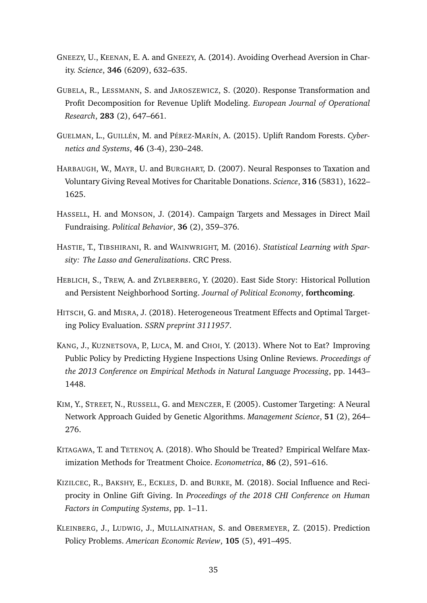- <span id="page-35-0"></span>GNEEZY, U., KEENAN, E. A. and GNEEZY, A. (2014). Avoiding Overhead Aversion in Charity. *Science*, **346** (6209), 632–635.
- <span id="page-35-6"></span>GUBELA, R., LESSMANN, S. and JAROSZEWICZ, S. (2020). Response Transformation and Profit Decomposition for Revenue Uplift Modeling. *European Journal of Operational Research*, **283** (2), 647–661.
- <span id="page-35-5"></span>GUELMAN, L., GUILLÉN, M. and PÉREZ-MARÍN, A. (2015). Uplift Random Forests. *Cybernetics and Systems*, **46** (3-4), 230–248.
- <span id="page-35-2"></span>HARBAUGH, W., MAYR, U. and BURGHART, D. (2007). Neural Responses to Taxation and Voluntary Giving Reveal Motives for Charitable Donations. *Science*, **316** (5831), 1622– 1625.
- <span id="page-35-4"></span>HASSELL, H. and MONSON, J. (2014). Campaign Targets and Messages in Direct Mail Fundraising. *Political Behavior*, **36** (2), 359–376.
- <span id="page-35-12"></span>HASTIE, T., TIBSHIRANI, R. and WAINWRIGHT, M. (2016). *Statistical Learning with Sparsity: The Lasso and Generalizations*. CRC Press.
- <span id="page-35-7"></span>HEBLICH, S., TREW, A. and ZYLBERBERG, Y. (2020). East Side Story: Historical Pollution and Persistent Neighborhood Sorting. *Journal of Political Economy*, **forthcoming**.
- <span id="page-35-8"></span>HITSCH, G. and MISRA, J. (2018). Heterogeneous Treatment Effects and Optimal Targeting Policy Evaluation. *SSRN preprint 3111957*.
- <span id="page-35-9"></span>KANG, J., KUZNETSOVA, P., LUCA, M. and CHOI, Y. (2013). Where Not to Eat? Improving Public Policy by Predicting Hygiene Inspections Using Online Reviews. *Proceedings of the 2013 Conference on Empirical Methods in Natural Language Processing*, pp. 1443– 1448.
- <span id="page-35-11"></span>KIM, Y., STREET, N., RUSSELL, G. and MENCZER, F. (2005). Customer Targeting: A Neural Network Approach Guided by Genetic Algorithms. *Management Science*, **51** (2), 264– 276.
- <span id="page-35-1"></span>KITAGAWA, T. and TETENOV, A. (2018). Who Should be Treated? Empirical Welfare Maximization Methods for Treatment Choice. *Econometrica*, **86** (2), 591–616.
- <span id="page-35-3"></span>KIZILCEC, R., BAKSHY, E., ECKLES, D. and BURKE, M. (2018). Social Influence and Reciprocity in Online Gift Giving. In *Proceedings of the 2018 CHI Conference on Human Factors in Computing Systems*, pp. 1–11.
- <span id="page-35-10"></span>KLEINBERG, J., LUDWIG, J., MULLAINATHAN, S. and OBERMEYER, Z. (2015). Prediction Policy Problems. *American Economic Review*, **105** (5), 491–495.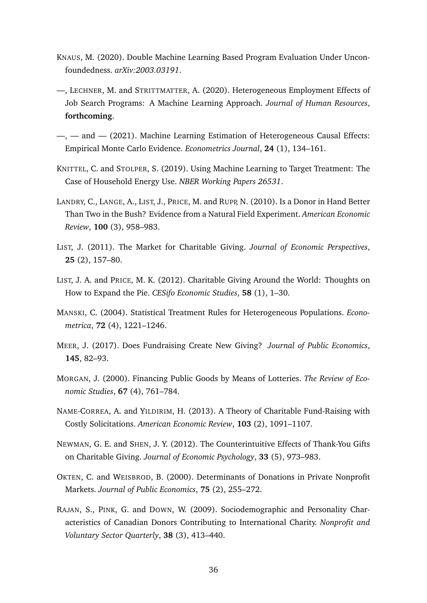- <span id="page-36-12"></span>KNAUS, M. (2020). Double Machine Learning Based Program Evaluation Under Unconfoundedness. *arXiv:2003.03191*.
- <span id="page-36-8"></span>—, LECHNER, M. and STRITTMATTER, A. (2020). Heterogeneous Employment Effects of Job Search Programs: A Machine Learning Approach. *Journal of Human Resources*, **forthcoming**.
- <span id="page-36-11"></span>—, — and — (2021). Machine Learning Estimation of Heterogeneous Causal Effects: Empirical Monte Carlo Evidence. *Econometrics Journal*, **24** (1), 134–161.
- <span id="page-36-9"></span>KNITTEL, C. and STOLPER, S. (2019). Using Machine Learning to Target Treatment: The Case of Household Energy Use. *NBER Working Papers 26531*.
- <span id="page-36-3"></span>LANDRY, C., LANGE, A., LIST, J., PRICE, M. and RUPP, N. (2010). Is a Donor in Hand Better Than Two in the Bush? Evidence from a Natural Field Experiment. *American Economic Review*, **100** (3), 958–983.
- <span id="page-36-10"></span>LIST, J. (2011). The Market for Charitable Giving. *Journal of Economic Perspectives*, **25** (2), 157–80.
- <span id="page-36-2"></span>LIST, J. A. and PRICE, M. K. (2012). Charitable Giving Around the World: Thoughts on How to Expand the Pie. *CESifo Economic Studies*, **58** (1), 1–30.
- <span id="page-36-13"></span>MANSKI, C. (2004). Statistical Treatment Rules for Heterogeneous Populations. *Econometrica*, **72** (4), 1221–1246.
- <span id="page-36-6"></span>MEER, J. (2017). Does Fundraising Create New Giving? *Journal of Public Economics*, **145**, 82–93.
- <span id="page-36-1"></span>MORGAN, J. (2000). Financing Public Goods by Means of Lotteries. *The Review of Economic Studies*, **67** (4), 761–784.
- <span id="page-36-0"></span>NAME-CORREA, A. and YILDIRIM, H. (2013). A Theory of Charitable Fund-Raising with Costly Solicitations. *American Economic Review*, **103** (2), 1091–1107.
- <span id="page-36-7"></span>NEWMAN, G. E. and SHEN, J. Y. (2012). The Counterintuitive Effects of Thank-You Gifts on Charitable Giving. *Journal of Economic Psychology*, **33** (5), 973–983.
- <span id="page-36-4"></span>OKTEN, C. and WEISBROD, B. (2000). Determinants of Donations in Private Nonprofit Markets. *Journal of Public Economics*, **75** (2), 255–272.
- <span id="page-36-5"></span>RAJAN, S., PINK, G. and DOWN, W. (2009). Sociodemographic and Personality Characteristics of Canadian Donors Contributing to International Charity. *Nonprofit and Voluntary Sector Quarterly*, **38** (3), 413–440.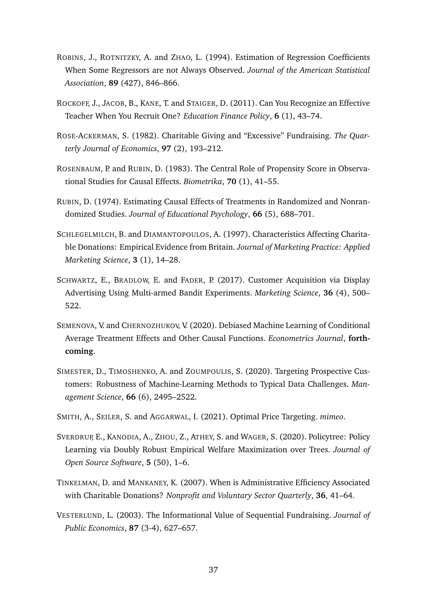- <span id="page-37-9"></span>ROBINS, J., ROTNITZKY, A. and ZHAO, L. (1994). Estimation of Regression Coefficients When Some Regressors are not Always Observed. *Journal of the American Statistical Association*, **89** (427), 846–866.
- <span id="page-37-5"></span>ROCKOFF, J., JACOB, B., KANE, T. and STAIGER, D. (2011). Can You Recognize an Effective Teacher When You Recruit One? *Education Finance Policy*, **6** (1), 43–74.
- <span id="page-37-0"></span>ROSE-ACKERMAN, S. (1982). Charitable Giving and "Excessive" Fundraising. *The Quarterly Journal of Economics*, **97** (2), 193–212.
- <span id="page-37-12"></span>ROSENBAUM, P. and RUBIN, D. (1983). The Central Role of Propensity Score in Observational Studies for Causal Effects. *Biometrika*, **70** (1), 41–55.
- <span id="page-37-8"></span>RUBIN, D. (1974). Estimating Causal Effects of Treatments in Randomized and Nonrandomized Studies. *Journal of Educational Psychology*, **66** (5), 688–701.
- <span id="page-37-3"></span>SCHLEGELMILCH, B. and DIAMANTOPOULOS, A. (1997). Characteristics Affecting Charitable Donations: Empirical Evidence from Britain. *Journal of Marketing Practice: Applied Marketing Science*, **3** (1), 14–28.
- <span id="page-37-6"></span>SCHWARTZ, E., BRADLOW, E. and FADER, P. (2017). Customer Acquisition via Display Advertising Using Multi-armed Bandit Experiments. *Marketing Science*, **36** (4), 500– 522.
- <span id="page-37-10"></span>SEMENOVA, V. and CHERNOZHUKOV, V. (2020). Debiased Machine Learning of Conditional Average Treatment Effects and Other Causal Functions. *Econometrics Journal*, **forthcoming**.
- <span id="page-37-7"></span>SIMESTER, D., TIMOSHENKO, A. and ZOUMPOULIS, S. (2020). Targeting Prospective Customers: Robustness of Machine-Learning Methods to Typical Data Challenges. *Management Science*, **66** (6), 2495–2522.
- <span id="page-37-4"></span>SMITH, A., SEILER, S. and AGGARWAL, I. (2021). Optimal Price Targeting. *mimeo*.
- <span id="page-37-11"></span>SVERDRUP, E., KANODIA, A., ZHOU, Z., ATHEY, S. and WAGER, S. (2020). Policytree: Policy Learning via Doubly Robust Empirical Welfare Maximization over Trees. *Journal of Open Source Software*, **5** (50), 1–6.
- <span id="page-37-1"></span>TINKELMAN, D. and MANKANEY, K. (2007). When is Administrative Efficiency Associated with Charitable Donations? *Nonprofit and Voluntary Sector Quarterly*, **36**, 41–64.
- <span id="page-37-2"></span>VESTERLUND, L. (2003). The Informational Value of Sequential Fundraising. *Journal of Public Economics*, **87** (3-4), 627–657.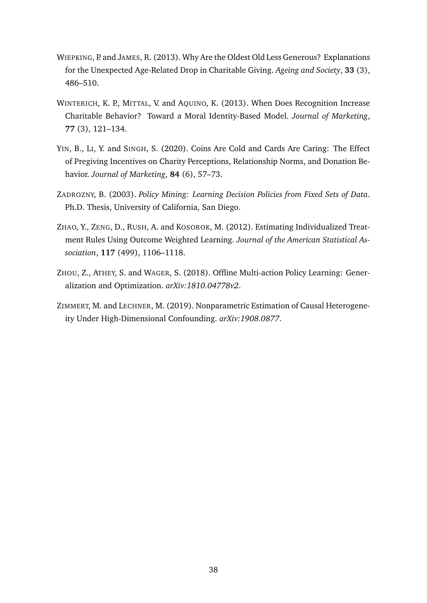- <span id="page-38-2"></span>WIEPKING, P. and JAMES, R. (2013). Why Are the Oldest Old Less Generous? Explanations for the Unexpected Age-Related Drop in Charitable Giving. *Ageing and Society*, **33** (3), 486–510.
- <span id="page-38-3"></span>WINTERICH, K. P., MITTAL, V. and AQUINO, K. (2013). When Does Recognition Increase Charitable Behavior? Toward a Moral Identity-Based Model. *Journal of Marketing*, **77** (3), 121–134.
- <span id="page-38-1"></span>YIN, B., LI, Y. and SINGH, S. (2020). Coins Are Cold and Cards Are Caring: The Effect of Pregiving Incentives on Charity Perceptions, Relationship Norms, and Donation Behavior. *Journal of Marketing*, **84** (6), 57–73.
- <span id="page-38-5"></span>ZADROZNY, B. (2003). *Policy Mining: Learning Decision Policies from Fixed Sets of Data*. Ph.D. Thesis, University of California, San Diego.
- <span id="page-38-6"></span>ZHAO, Y., ZENG, D., RUSH, A. and KOSOROK, M. (2012). Estimating Individualized Treatment Rules Using Outcome Weighted Learning. *Journal of the American Statistical Association*, **117** (499), 1106–1118.
- <span id="page-38-0"></span>ZHOU, Z., ATHEY, S. and WAGER, S. (2018). Offline Multi-action Policy Learning: Generalization and Optimization. *arXiv:1810.04778v2*.
- <span id="page-38-4"></span>ZIMMERT, M. and LECHNER, M. (2019). Nonparametric Estimation of Causal Heterogeneity Under High-Dimensional Confounding. *arXiv:1908.0877*.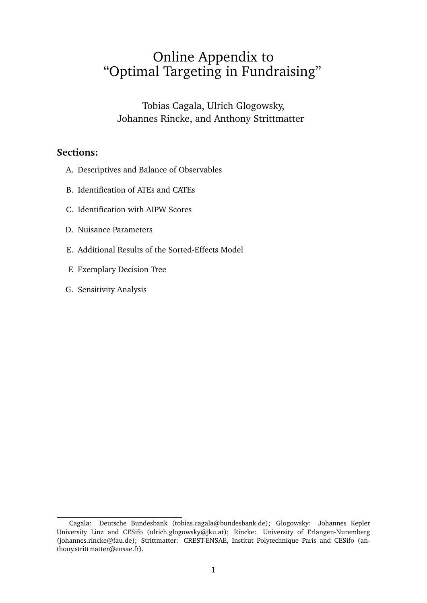# Online Appendix to "Optimal Targeting in Fundraising"

Tobias Cagala, Ulrich Glogowsky, Johannes Rincke, and Anthony Strittmatte[r](#page-39-0)

### **Sections:**

- A. Descriptives and Balance of Observables
- B. Identification of ATEs and CATEs
- C. Identification with AIPW Scores
- D. Nuisance Parameters
- E. Additional Results of the Sorted-Effects Model
- F. Exemplary Decision Tree
- G. Sensitivity Analysis

<span id="page-39-0"></span>Cagala: Deutsche Bundesbank (tobias.cagala@bundesbank.de); Glogowsky: Johannes Kepler University Linz and CESifo (ulrich.glogowsky@jku.at); Rincke: University of Erlangen-Nuremberg (johannes.rincke@fau.de); Strittmatter: CREST-ENSAE, Institut Polytechnique Paris and CESifo (anthony.strittmatter@ensae.fr).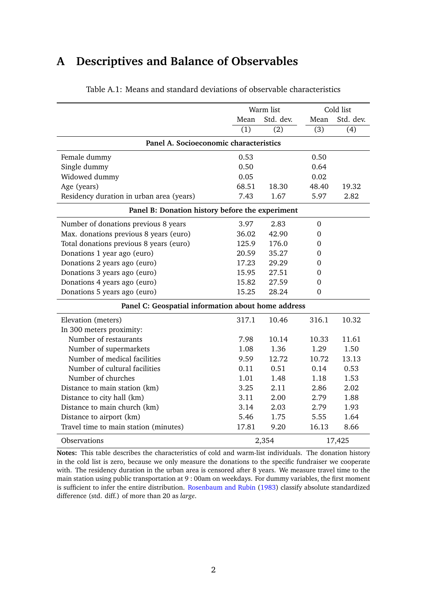# **A Descriptives and Balance of Observables**

<span id="page-40-0"></span>

|                                                    | Warm list        |                  |                  | Cold list        |  |  |  |  |  |
|----------------------------------------------------|------------------|------------------|------------------|------------------|--|--|--|--|--|
|                                                    | Mean             | Std. dev.        | Mean             | Std. dev.        |  |  |  |  |  |
|                                                    | $\overline{(1)}$ | $\overline{(2)}$ | $\overline{(3)}$ | $\overline{(4)}$ |  |  |  |  |  |
| Panel A. Socioeconomic characteristics             |                  |                  |                  |                  |  |  |  |  |  |
| Female dummy                                       | 0.53             |                  | 0.50             |                  |  |  |  |  |  |
| Single dummy                                       | 0.50             |                  | 0.64             |                  |  |  |  |  |  |
| Widowed dummy                                      | 0.05             |                  | 0.02             |                  |  |  |  |  |  |
| Age (years)                                        | 68.51            | 18.30            | 48.40            | 19.32            |  |  |  |  |  |
| Residency duration in urban area (years)           | 7.43             | 1.67             | 5.97             | 2.82             |  |  |  |  |  |
| Panel B: Donation history before the experiment    |                  |                  |                  |                  |  |  |  |  |  |
| Number of donations previous 8 years               | 3.97             | 2.83             | $\boldsymbol{0}$ |                  |  |  |  |  |  |
| Max. donations previous 8 years (euro)             | 36.02            | 42.90            | 0                |                  |  |  |  |  |  |
| Total donations previous 8 years (euro)            | 125.9            | 176.0            | 0                |                  |  |  |  |  |  |
| Donations 1 year ago (euro)                        | 20.59            | 35.27            | 0                |                  |  |  |  |  |  |
| Donations 2 years ago (euro)                       | 17.23            | 29.29            | 0                |                  |  |  |  |  |  |
| Donations 3 years ago (euro)                       | 15.95            | 27.51            | 0                |                  |  |  |  |  |  |
| Donations 4 years ago (euro)                       | 15.82            | 27.59            | 0                |                  |  |  |  |  |  |
| Donations 5 years ago (euro)                       | 15.25            | 28.24            | $\overline{0}$   |                  |  |  |  |  |  |
| Panel C: Geospatial information about home address |                  |                  |                  |                  |  |  |  |  |  |
| Elevation (meters)                                 | 317.1            | 10.46            | 316.1            | 10.32            |  |  |  |  |  |
| In 300 meters proximity:                           |                  |                  |                  |                  |  |  |  |  |  |
| Number of restaurants                              | 7.98             | 10.14            | 10.33            | 11.61            |  |  |  |  |  |
| Number of supermarkets                             | 1.08             | 1.36             | 1.29             | 1.50             |  |  |  |  |  |
| Number of medical facilities                       | 9.59             | 12.72            | 10.72            | 13.13            |  |  |  |  |  |
| Number of cultural facilities                      | 0.11             | 0.51             | 0.14             | 0.53             |  |  |  |  |  |
| Number of churches                                 | 1.01             | 1.48             | 1.18             | 1.53             |  |  |  |  |  |
| Distance to main station (km)                      | 3.25             | 2.11             | 2.86             | 2.02             |  |  |  |  |  |
| Distance to city hall (km)                         | 3.11             | 2.00             | 2.79             | 1.88             |  |  |  |  |  |
| Distance to main church (km)                       | 3.14             | 2.03             | 2.79             | 1.93             |  |  |  |  |  |
| Distance to airport (km)                           | 5.46             | 1.75             | 5.55             | 1.64             |  |  |  |  |  |
| Travel time to main station (minutes)              | 17.81            | 9.20             | 16.13            | 8.66             |  |  |  |  |  |
| <b>Observations</b>                                | 2,354            |                  | 17,425           |                  |  |  |  |  |  |

Table A.1: Means and standard deviations of observable characteristics

**Notes:** This table describes the characteristics of cold and warm-list individuals. The donation history in the cold list is zero, because we only measure the donations to the specific fundraiser we cooperate with. The residency duration in the urban area is censored after 8 years. We measure travel time to the main station using public transportation at 9 : 00am on weekdays. For dummy variables, the first moment is sufficient to infer the entire distribution. [Rosenbaum and Rubin](#page-37-12) [\(1983\)](#page-37-12) classify absolute standardized difference (std. diff.) of more than 20 as *large*.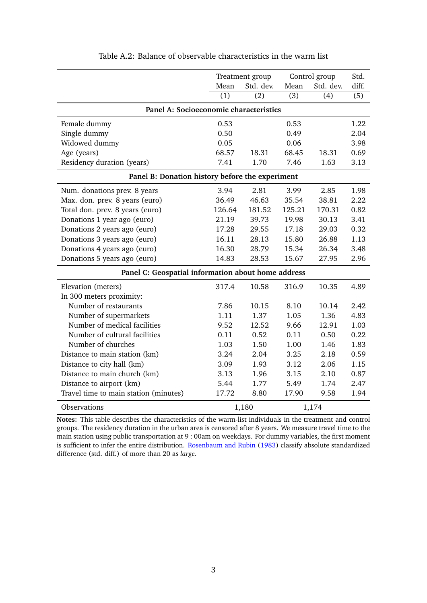<span id="page-41-0"></span>

|                                                    | Control group<br>Treatment group |                  |                  |                  | Std.             |  |  |  |  |
|----------------------------------------------------|----------------------------------|------------------|------------------|------------------|------------------|--|--|--|--|
|                                                    | Mean                             | Std. dev.        | Mean             | Std. dev.        | diff.            |  |  |  |  |
|                                                    | $\overline{(1)}$                 | $\overline{(2)}$ | $\overline{(3)}$ | $\overline{(4)}$ | $\overline{(5)}$ |  |  |  |  |
| Panel A: Socioeconomic characteristics             |                                  |                  |                  |                  |                  |  |  |  |  |
| Female dummy                                       | 0.53                             |                  | 0.53             |                  | 1.22             |  |  |  |  |
| Single dummy                                       | 0.50                             |                  | 0.49             |                  | 2.04             |  |  |  |  |
| Widowed dummy                                      | 0.05                             |                  | 0.06             |                  | 3.98             |  |  |  |  |
| Age (years)                                        | 68.57                            | 18.31            | 68.45            | 18.31            | 0.69             |  |  |  |  |
| Residency duration (years)                         | 7.41                             | 1.70             | 7.46             | 1.63             | 3.13             |  |  |  |  |
| Panel B: Donation history before the experiment    |                                  |                  |                  |                  |                  |  |  |  |  |
| Num. donations prev. 8 years                       | 3.94                             | 2.81             | 3.99             | 2.85             | 1.98             |  |  |  |  |
| Max. don. prev. 8 years (euro)                     | 36.49                            | 46.63            | 35.54            | 38.81            | 2.22             |  |  |  |  |
| Total don. prev. 8 years (euro)                    | 126.64                           | 181.52           | 125.21           | 170.31           | 0.82             |  |  |  |  |
| Donations 1 year ago (euro)                        | 21.19                            | 39.73            | 19.98            | 30.13            | 3.41             |  |  |  |  |
| Donations 2 years ago (euro)                       | 17.28                            | 29.55            | 17.18            | 29.03            | 0.32             |  |  |  |  |
| Donations 3 years ago (euro)                       | 16.11                            | 28.13            | 15.80            | 26.88            | 1.13             |  |  |  |  |
| Donations 4 years ago (euro)                       | 16.30                            | 28.79            | 15.34            | 26.34            | 3.48             |  |  |  |  |
| Donations 5 years ago (euro)                       | 14.83                            | 28.53            | 15.67            | 27.95            | 2.96             |  |  |  |  |
| Panel C: Geospatial information about home address |                                  |                  |                  |                  |                  |  |  |  |  |
| Elevation (meters)                                 | 317.4                            | 10.58            | 316.9            | 10.35            | 4.89             |  |  |  |  |
| In 300 meters proximity:                           |                                  |                  |                  |                  |                  |  |  |  |  |
| Number of restaurants                              | 7.86                             | 10.15            | 8.10             | 10.14            | 2.42             |  |  |  |  |
| Number of supermarkets                             | 1.11                             | 1.37             | 1.05             | 1.36             | 4.83             |  |  |  |  |
| Number of medical facilities                       | 9.52                             | 12.52            | 9.66             | 12.91            | 1.03             |  |  |  |  |
| Number of cultural facilities                      | 0.11                             | 0.52             | 0.11             | 0.50             | 0.22             |  |  |  |  |
| Number of churches                                 | 1.03                             | 1.50             | 1.00             | 1.46             | 1.83             |  |  |  |  |
| Distance to main station (km)                      | 3.24                             | 2.04             | 3.25             | 2.18             | 0.59             |  |  |  |  |
| Distance to city hall (km)                         | 3.09                             | 1.93             | 3.12             | 2.06             | 1.15             |  |  |  |  |
| Distance to main church (km)                       | 3.13                             | 1.96             | 3.15             | 2.10             | 0.87             |  |  |  |  |
| Distance to airport (km)                           | 5.44                             | 1.77             | 5.49             | 1.74             | 2.47             |  |  |  |  |
| Travel time to main station (minutes)              | 17.72                            | 8.80             | 17.90            | 9.58             | 1.94             |  |  |  |  |
| Observations                                       |                                  | 1,180            |                  | 1,174            |                  |  |  |  |  |

Table A.2: Balance of observable characteristics in the warm list

**Notes:** This table describes the characteristics of the warm-list individuals in the treatment and control groups. The residency duration in the urban area is censored after 8 years. We measure travel time to the main station using public transportation at 9 : 00am on weekdays. For dummy variables, the first moment is sufficient to infer the entire distribution. [Rosenbaum and Rubin](#page-37-12) [\(1983\)](#page-37-12) classify absolute standardized difference (std. diff.) of more than 20 as *large*.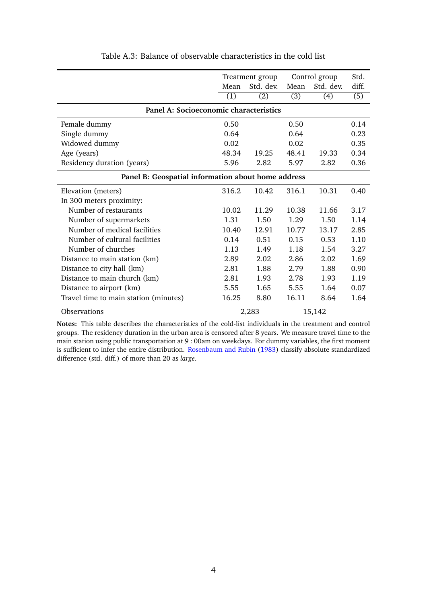<span id="page-42-0"></span>

|                                                    |       | Treatment group | Control group |           | Std.  |  |  |  |  |  |
|----------------------------------------------------|-------|-----------------|---------------|-----------|-------|--|--|--|--|--|
|                                                    | Mean  | Std. dev.       | Mean          | Std. dev. | diff. |  |  |  |  |  |
|                                                    | (1)   | (2)             | (3)           | (4)       | (5)   |  |  |  |  |  |
| Panel A: Socioeconomic characteristics             |       |                 |               |           |       |  |  |  |  |  |
| Female dummy                                       | 0.50  |                 | 0.50          |           | 0.14  |  |  |  |  |  |
| Single dummy                                       | 0.64  |                 | 0.64          |           | 0.23  |  |  |  |  |  |
| Widowed dummy                                      | 0.02  |                 | 0.02          |           | 0.35  |  |  |  |  |  |
| Age (years)                                        | 48.34 | 19.25           | 48.41         | 19.33     | 0.34  |  |  |  |  |  |
| Residency duration (years)                         | 5.96  | 2.82            | 5.97          | 2.82      | 0.36  |  |  |  |  |  |
| Panel B: Geospatial information about home address |       |                 |               |           |       |  |  |  |  |  |
| Elevation (meters)                                 | 316.2 | 10.42           | 316.1         | 10.31     | 0.40  |  |  |  |  |  |
| In 300 meters proximity:                           |       |                 |               |           |       |  |  |  |  |  |
| Number of restaurants                              | 10.02 | 11.29           | 10.38         | 11.66     | 3.17  |  |  |  |  |  |
| Number of supermarkets                             | 1.31  | 1.50            | 1.29          | 1.50      | 1.14  |  |  |  |  |  |
| Number of medical facilities                       | 10.40 | 12.91           | 10.77         | 13.17     | 2.85  |  |  |  |  |  |
| Number of cultural facilities                      | 0.14  | 0.51            | 0.15          | 0.53      | 1.10  |  |  |  |  |  |
| Number of churches                                 | 1.13  | 1.49            | 1.18          | 1.54      | 3.27  |  |  |  |  |  |
| Distance to main station (km)                      | 2.89  | 2.02            | 2.86          | 2.02      | 1.69  |  |  |  |  |  |
| Distance to city hall (km)                         | 2.81  | 1.88            | 2.79          | 1.88      | 0.90  |  |  |  |  |  |
| Distance to main church (km)                       | 2.81  | 1.93            | 2.78          | 1.93      | 1.19  |  |  |  |  |  |
| Distance to airport (km)                           | 5.55  | 1.65            | 5.55          | 1.64      | 0.07  |  |  |  |  |  |
| Travel time to main station (minutes)              | 16.25 | 8.80            | 16.11         | 8.64      | 1.64  |  |  |  |  |  |
| <b>Observations</b>                                |       | 2,283           |               | 15,142    |       |  |  |  |  |  |

Table A.3: Balance of observable characteristics in the cold list

**Notes:** This table describes the characteristics of the cold-list individuals in the treatment and control groups. The residency duration in the urban area is censored after 8 years. We measure travel time to the main station using public transportation at 9 : 00am on weekdays. For dummy variables, the first moment is sufficient to infer the entire distribution. [Rosenbaum and Rubin](#page-37-12) [\(1983\)](#page-37-12) classify absolute standardized difference (std. diff.) of more than 20 as *large*.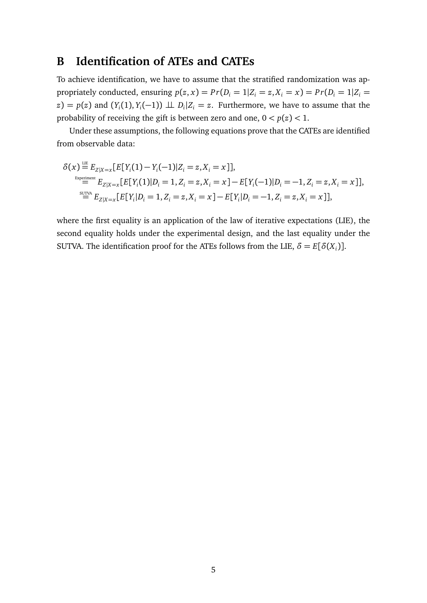## **B Identification of ATEs and CATEs**

To achieve identification, we have to assume that the stratified randomization was appropriately conducted, ensuring  $p(z, x) = Pr(D_i = 1 | Z_i = z, X_i = x) = Pr(D_i = 1 | Z_i = x)$  $(z) = p(z)$  and  $(Y_i(1), Y_i(-1)) \perp \perp D_i | Z_i = z$ . Furthermore, we have to assume that the probability of receiving the gift is between zero and one,  $0 < p(z) < 1$ .

Under these assumptions, the following equations prove that the CATEs are identified from observable data:

$$
\delta(x) = E_{Z|X=x}[E[Y_i(1) - Y_i(-1)|Z_i = z, X_i = x]],
$$
  
\n
$$
= E_{Z|X=x}[E[Y_i(1)|D_i = 1, Z_i = z, X_i = x] - E[Y_i(-1)|D_i = -1, Z_i = z, X_i = x]],
$$
  
\n
$$
= E_{Z|X=x}[E[Y_i|D_i = 1, Z_i = z, X_i = x] - E[Y_i|D_i = -1, Z_i = z, X_i = x]],
$$

where the first equality is an application of the law of iterative expectations (LIE), the second equality holds under the experimental design, and the last equality under the SUTVA. The identification proof for the ATEs follows from the LIE,  $\delta = E[\delta(X_i)]$ .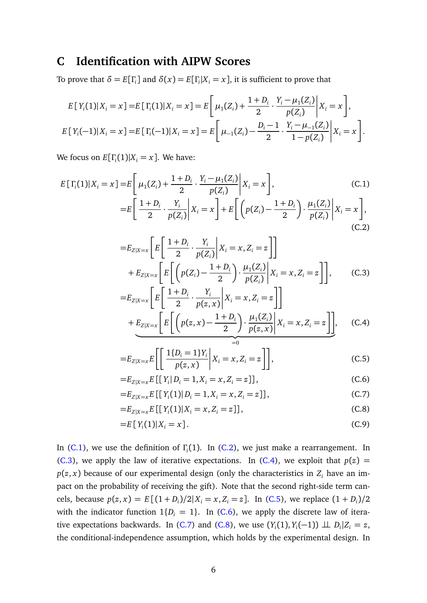## **C Identification with AIPW Scores**

To prove that  $\delta = E[\Gamma_i]$  and  $\delta(x) = E[\Gamma_i|X_i = x]$ , it is sufficient to prove that

$$
E[Y_i(1)|X_i = x] = E[\Gamma_i(1)|X_i = x] = E\left[\mu_1(Z_i) + \frac{1+D_i}{2} \cdot \frac{Y_i - \mu_1(Z_i)}{p(Z_i)}\middle| X_i = x\right],
$$
  

$$
E[Y_i(-1)|X_i = x] = E[\Gamma_i(-1)|X_i = x] = E\left[\mu_{-1}(Z_i) - \frac{D_i - 1}{2} \cdot \frac{Y_i - \mu_{-1}(Z_i)}{1 - p(Z_i)}\middle| X_i = x\right].
$$

We focus on  $E[\Gamma_i(1)|X_i = x]$ . We have:

$$
E[\Gamma_i(1)|X_i = x] = E\left[\mu_1(Z_i) + \frac{1+D_i}{2} \cdot \frac{Y_i - \mu_1(Z_i)}{p(Z_i)} \middle| X_i = x\right],
$$
\n(C.1)\n
$$
= E\left[\frac{1+D_i}{2} \cdot \frac{Y_i}{p(Z_i)} \middle| X_i = x\right] + E\left[\left(p(Z_i) - \frac{1+D_i}{2}\right) \cdot \frac{\mu_1(Z_i)}{p(Z_i)} \middle| X_i = x\right],
$$
\n(C.2)

<span id="page-44-2"></span><span id="page-44-1"></span><span id="page-44-0"></span>
$$
=E_{Z|X=x}\left[E\left[\frac{1+D_i}{2}\cdot\frac{Y_i}{p(Z_i)}\middle|X_i=x,Z_i=z\right]\right]
$$

$$
+E_{Z|X=x}\left[E\left[\left(p(Z_i)-\frac{1+D_i}{2}\right)\cdot\frac{\mu_1(Z_i)}{p(Z_i)}\middle|X_i=x,Z_i=z\right]\right],\qquad (C.3)
$$

<span id="page-44-3"></span>
$$
=E_{Z|X=x}\left[E\left[\frac{1+D_i}{2}\cdot\frac{Y_i}{p(z,x)}\middle|X_i=x,Z_i=z\right]\right] + E_{Z|X=x}\left[E\left[\left(p(z,x)-\frac{1+D_i}{2}\right)\cdot\frac{\mu_1(Z_i)}{p(z,x)}\middle|X_i=x,Z_i=z\right]\right],\quad (C.4)
$$

<span id="page-44-4"></span>
$$
=E_{Z|X=x}E\left[\left[\frac{1\{D_i=1\}Y_i}{p(z,x)}\bigg|X_i=x,Z_i=z\right]\right],
$$
\n(C.5)

<span id="page-44-5"></span>
$$
=E_{Z|X=x}E\left[\left[Y_{i}\right|D_{i}=1,X_{i}=x,Z_{i}=z\right]\right],
$$
\n(C.6)

<span id="page-44-7"></span><span id="page-44-6"></span>
$$
=E_{Z|X=x}E\left[\left[Y_{i}(1)\right|D_{i}=1,X_{i}=x,Z_{i}=z\right]\right],
$$
\n(C.7)

<span id="page-44-8"></span>
$$
=E_{Z|X=x}E\left[\left[Y_{i}(1)|X_{i}=x,Z_{i}=z\right]\right],
$$
\n(C.8)

$$
=E[Y_i(1)|X_i=x].
$$
\n(C.9)

In [\(C.1\)](#page-44-0), we use the definition of *Γ*<sub>*i*</sub>(1). In [\(C.2\)](#page-44-1), we just make a rearrangement. In [\(C.3\)](#page-44-2), we apply the law of iterative expectations. In [\(C.4\)](#page-44-3), we exploit that  $p(z)$  =  $p(z, x)$  because of our experimental design (only the characteristics in  $Z_i$  have an impact on the probability of receiving the gift). Note that the second right-side term cancels, because  $p(z, x) = E[(1 + D_i)/2|X_i = x, Z_i = z]$ . In [\(C.5\)](#page-44-4), we replace  $(1 + D_i)/2$ with the indicator function  $1\{D_i = 1\}$ . In [\(C.6\)](#page-44-5), we apply the discrete law of itera-tive expectations backwards. In [\(C.7\)](#page-44-6) and [\(C.8\)](#page-44-7), we use  $(Y_i(1), Y_i(-1)) \perp \!\!\! \perp D_i | Z_i = z$ , the conditional-independence assumption, which holds by the experimental design. In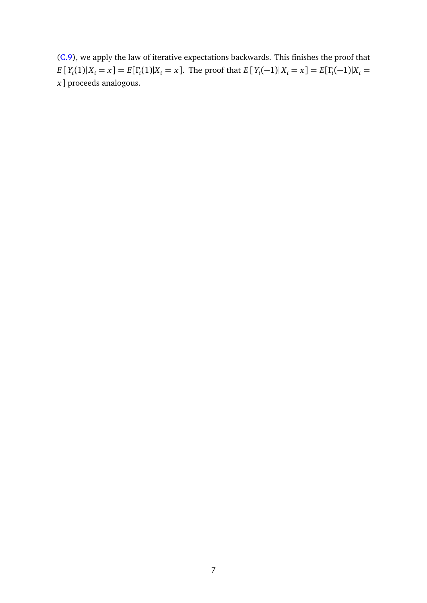[\(C.9\)](#page-44-8), we apply the law of iterative expectations backwards. This finishes the proof that  $E[Y_i(1)|X_i = x] = E[\Gamma_i(1)|X_i = x]$ . The proof that  $E[Y_i(-1)|X_i = x] = E[\Gamma_i(-1)|X_i = x]$ *x*] proceeds analogous.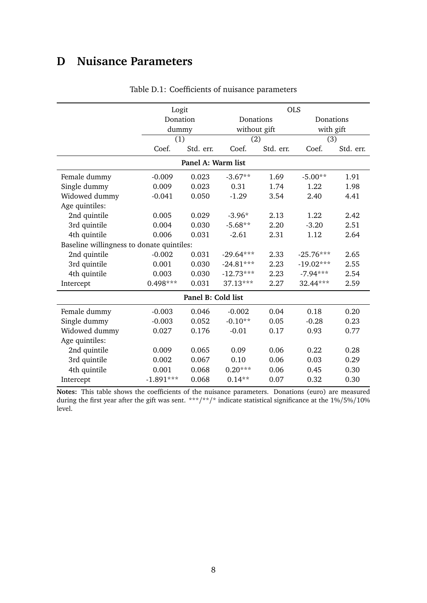# **D Nuisance Parameters**

<span id="page-46-0"></span>

|                                           | Logit       |                    |              | <b>OLS</b> |             |           |  |  |  |
|-------------------------------------------|-------------|--------------------|--------------|------------|-------------|-----------|--|--|--|
|                                           | Donation    |                    | Donations    |            | Donations   |           |  |  |  |
|                                           | dummy       |                    | without gift |            | with gift   |           |  |  |  |
|                                           | (1)         |                    | (2)          |            | (3)         |           |  |  |  |
|                                           | Coef.       | Std. err.          | Coef.        | Std. err.  | Coef.       | Std. err. |  |  |  |
| Panel A: Warm list                        |             |                    |              |            |             |           |  |  |  |
| Female dummy                              | $-0.009$    | 0.023              | $-3.67**$    | 1.69       | $-5.00**$   | 1.91      |  |  |  |
| Single dummy                              | 0.009       | 0.023              | 0.31         | 1.74       | 1.22        | 1.98      |  |  |  |
| Widowed dummy                             | $-0.041$    | 0.050              | $-1.29$      | 3.54       | 2.40        | 4.41      |  |  |  |
| Age quintiles:                            |             |                    |              |            |             |           |  |  |  |
| 2nd quintile                              | 0.005       | 0.029              | $-3.96*$     | 2.13       | 1.22        | 2.42      |  |  |  |
| 3rd quintile                              | 0.004       | 0.030              | $-5.68**$    | 2.20       | $-3.20$     | 2.51      |  |  |  |
| 4th quintile                              | 0.006       | 0.031              | $-2.61$      | 2.31       | 1.12        | 2.64      |  |  |  |
| Baseline willingness to donate quintiles: |             |                    |              |            |             |           |  |  |  |
| 2nd quintile                              | $-0.002$    | 0.031              | $-29.64***$  | 2.33       | $-25.76***$ | 2.65      |  |  |  |
| 3rd quintile                              | 0.001       | 0.030              | $-24.81***$  | 2.23       | $-19.02***$ | 2.55      |  |  |  |
| 4th quintile                              | 0.003       | 0.030              | $-12.73***$  | 2.23       | $-7.94***$  | 2.54      |  |  |  |
| Intercept                                 | 0.498***    | 0.031              | 37.13***     | 2.27       | 32.44***    | 2.59      |  |  |  |
|                                           |             | Panel B: Cold list |              |            |             |           |  |  |  |
| Female dummy                              | $-0.003$    | 0.046              | $-0.002$     | 0.04       | 0.18        | 0.20      |  |  |  |
| Single dummy                              | $-0.003$    | 0.052              | $-0.10**$    | 0.05       | $-0.28$     | 0.23      |  |  |  |
| Widowed dummy                             | 0.027       | 0.176              | $-0.01$      | 0.17       | 0.93        | 0.77      |  |  |  |
| Age quintiles:                            |             |                    |              |            |             |           |  |  |  |
| 2nd quintile                              | 0.009       | 0.065              | 0.09         | 0.06       | 0.22        | 0.28      |  |  |  |
| 3rd quintile                              | 0.002       | 0.067              | 0.10         | 0.06       | 0.03        | 0.29      |  |  |  |
| 4th quintile                              | 0.001       | 0.068              | $0.20***$    | 0.06       | 0.45        | 0.30      |  |  |  |
| Intercept                                 | $-1.891***$ | 0.068              | $0.14**$     | 0.07       | 0.32        | 0.30      |  |  |  |

Table D.1: Coefficients of nuisance parameters

**Notes:** This table shows the coefficients of the nuisance parameters. Donations (euro) are measured during the first year after the gift was sent. \*\*\*/\*\*/\* indicate statistical significance at the 1%/5%/10% level.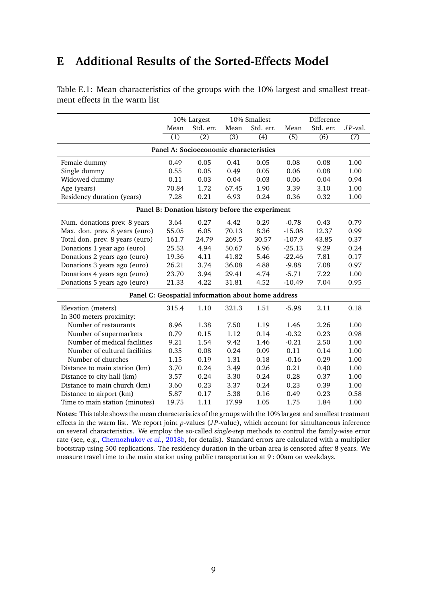# **E Additional Results of the Sorted-Effects Model**

|                                                    | 10% Largest      |                  | 10% Smallest     |                  | Difference       |                  |            |
|----------------------------------------------------|------------------|------------------|------------------|------------------|------------------|------------------|------------|
|                                                    | Mean             | Std. err.        | Mean             | Std. err.        | Mean             | Std. err.        | $JP$ -val. |
|                                                    | $\overline{(1)}$ | $\overline{(2)}$ | $\overline{(3)}$ | $\overline{(4)}$ | $\overline{(5)}$ | $\overline{(6)}$ | (7)        |
| Panel A: Socioeconomic characteristics             |                  |                  |                  |                  |                  |                  |            |
| Female dummy                                       | 0.49             | 0.05             | 0.41             | 0.05             | 0.08             | 0.08             | 1.00       |
| Single dummy                                       | 0.55             | 0.05             | 0.49             | 0.05             | 0.06             | 0.08             | 1.00       |
| Widowed dummy                                      | 0.11             | 0.03             | 0.04             | 0.03             | 0.06             | 0.04             | 0.94       |
| Age (years)                                        | 70.84            | 1.72             | 67.45            | 1.90             | 3.39             | 3.10             | 1.00       |
| Residency duration (years)                         | 7.28             | 0.21             | 6.93             | 0.24             | 0.36             | 0.32             | 1.00       |
| Panel B: Donation history before the experiment    |                  |                  |                  |                  |                  |                  |            |
| Num. donations prev. 8 years                       | 3.64             | 0.27             | 4.42             | 0.29             | $-0.78$          | 0.43             | 0.79       |
| Max. don. prev. 8 years (euro)                     | 55.05            | 6.05             | 70.13            | 8.36             | $-15.08$         | 12.37            | 0.99       |
| Total don. prev. 8 years (euro)                    | 161.7            | 24.79            | 269.5            | 30.57            | $-107.9$         | 43.85            | 0.37       |
| Donations 1 year ago (euro)                        | 25.53            | 4.94             | 50.67            | 6.96             | $-25.13$         | 9.29             | 0.24       |
| Donations 2 years ago (euro)                       | 19.36            | 4.11             | 41.82            | 5.46             | $-22.46$         | 7.81             | 0.17       |
| Donations 3 years ago (euro)                       | 26.21            | 3.74             | 36.08            | 4.88             | $-9.88$          | 7.08             | 0.97       |
| Donations 4 years ago (euro)                       | 23.70            | 3.94             | 29.41            | 4.74             | $-5.71$          | 7.22             | 1.00       |
| Donations 5 years ago (euro)                       | 21.33            | 4.22             | 31.81            | 4.52             | $-10.49$         | 7.04             | 0.95       |
| Panel C: Geospatial information about home address |                  |                  |                  |                  |                  |                  |            |
| Elevation (meters)                                 | 315.4            | 1.10             | 321.3            | 1.51             | $-5.98$          | 2.11             | 0.18       |
| In 300 meters proximity:                           |                  |                  |                  |                  |                  |                  |            |
| Number of restaurants                              | 8.96             | 1.38             | 7.50             | 1.19             | 1.46             | 2.26             | 1.00       |
| Number of supermarkets                             | 0.79             | 0.15             | 1.12             | 0.14             | $-0.32$          | 0.23             | 0.98       |
| Number of medical facilities                       | 9.21             | 1.54             | 9.42             | 1.46             | $-0.21$          | 2.50             | 1.00       |
| Number of cultural facilities                      | 0.35             | 0.08             | 0.24             | 0.09             | 0.11             | 0.14             | 1.00       |
| Number of churches                                 | 1.15             | 0.19             | 1.31             | 0.18             | $-0.16$          | 0.29             | 1.00       |
| Distance to main station (km)                      | 3.70             | 0.24             | 3.49             | 0.26             | 0.21             | 0.40             | 1.00       |
| Distance to city hall (km)                         | 3.57             | 0.24             | 3.30             | 0.24             | 0.28             | 0.37             | 1.00       |
| Distance to main church (km)                       | 3.60             | 0.23             | 3.37             | 0.24             | 0.23             | 0.39             | 1.00       |
| Distance to airport (km)                           | 5.87             | 0.17             | 5.38             | 0.16             | 0.49             | 0.23             | 0.58       |
| Time to main station (minutes)                     | 19.75            | 1.11             | 17.99            | 1.05             | 1.75             | 1.84             | 1.00       |

<span id="page-47-0"></span>Table E.1: Mean characteristics of the groups with the 10% largest and smallest treatment effects in the warm list

**Notes:** This table shows the mean characteristics of the groups with the 10% largest and smallest treatment effects in the warm list. We report joint *p*-values (*J P*-value), which account for simultaneous inference on several characteristics. We employ the so-called *single-step* methods to control the family-wise error rate (see, e.g., [Chernozhukov](#page-33-12) *et al.*, [2018b,](#page-33-12) for details). Standard errors are calculated with a multiplier bootstrap using 500 replications. The residency duration in the urban area is censored after 8 years. We measure travel time to the main station using public transportation at 9 : 00am on weekdays.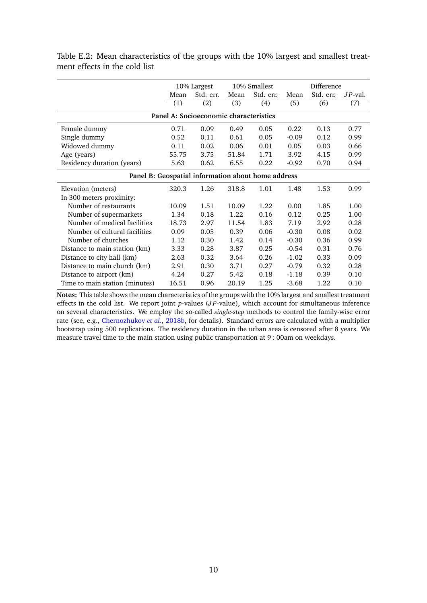|                                                    | 10% Largest      |                  | 10% Smallest     |                  | Difference       |                  |                  |
|----------------------------------------------------|------------------|------------------|------------------|------------------|------------------|------------------|------------------|
|                                                    | Mean             | Std. err.        | Mean             | Std. err.        | Mean             | Std. err.        | $JP$ -val.       |
|                                                    | $\overline{(1)}$ | $\overline{(2)}$ | $\overline{(3)}$ | $\overline{(4)}$ | $\overline{(5)}$ | $\overline{(6)}$ | $\overline{(7)}$ |
| Panel A: Socioeconomic characteristics             |                  |                  |                  |                  |                  |                  |                  |
| Female dummy                                       | 0.71             | 0.09             | 0.49             | 0.05             | 0.22             | 0.13             | 0.77             |
| Single dummy                                       | 0.52             | 0.11             | 0.61             | 0.05             | $-0.09$          | 0.12             | 0.99             |
| Widowed dummy                                      | 0.11             | 0.02             | 0.06             | 0.01             | 0.05             | 0.03             | 0.66             |
| Age (years)                                        | 55.75            | 3.75             | 51.84            | 1.71             | 3.92             | 4.15             | 0.99             |
| Residency duration (years)                         | 5.63             | 0.62             | 6.55             | 0.22             | $-0.92$          | 0.70             | 0.94             |
| Panel B: Geospatial information about home address |                  |                  |                  |                  |                  |                  |                  |
| Elevation (meters)                                 | 320.3            | 1.26             | 318.8            | 1.01             | 1.48             | 1.53             | 0.99             |
| In 300 meters proximity:                           |                  |                  |                  |                  |                  |                  |                  |
| Number of restaurants                              | 10.09            | 1.51             | 10.09            | 1.22             | 0.00             | 1.85             | 1.00             |
| Number of supermarkets                             | 1.34             | 0.18             | 1.22             | 0.16             | 0.12             | 0.25             | 1.00             |
| Number of medical facilities                       | 18.73            | 2.97             | 11.54            | 1.83             | 7.19             | 2.92             | 0.28             |
| Number of cultural facilities                      | 0.09             | 0.05             | 0.39             | 0.06             | $-0.30$          | 0.08             | 0.02             |
| Number of churches                                 | 1.12             | 0.30             | 1.42             | 0.14             | $-0.30$          | 0.36             | 0.99             |
| Distance to main station (km)                      | 3.33             | 0.28             | 3.87             | 0.25             | $-0.54$          | 0.31             | 0.76             |
| Distance to city hall (km)                         | 2.63             | 0.32             | 3.64             | 0.26             | $-1.02$          | 0.33             | 0.09             |
| Distance to main church (km)                       | 2.91             | 0.30             | 3.71             | 0.27             | $-0.79$          | 0.32             | 0.28             |
| Distance to airport (km)                           | 4.24             | 0.27             | 5.42             | 0.18             | $-1.18$          | 0.39             | 0.10             |
| Time to main station (minutes)                     | 16.51            | 0.96             | 20.19            | 1.25             | $-3.68$          | 1.22             | 0.10             |

<span id="page-48-0"></span>Table E.2: Mean characteristics of the groups with the 10% largest and smallest treatment effects in the cold list

**Notes:** This table shows the mean characteristics of the groups with the 10% largest and smallest treatment effects in the cold list. We report joint *p*-values (*J P*-value), which account for simultaneous inference on several characteristics. We employ the so-called *single-step* methods to control the family-wise error rate (see, e.g., [Chernozhukov](#page-33-12) *et al.*, [2018b,](#page-33-12) for details). Standard errors are calculated with a multiplier bootstrap using 500 replications. The residency duration in the urban area is censored after 8 years. We measure travel time to the main station using public transportation at 9 : 00am on weekdays.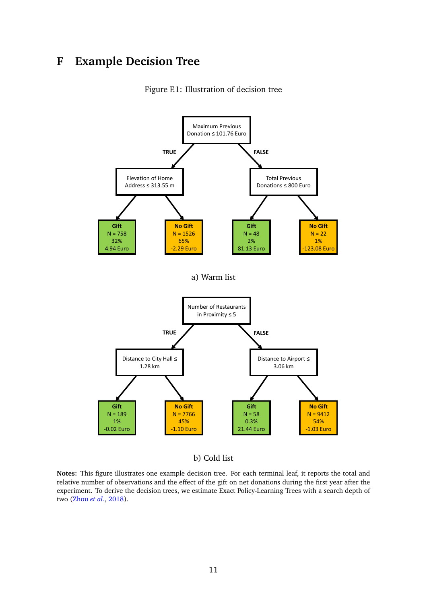# <span id="page-49-0"></span>**F Example Decision Tree**



Figure F.1: Illustration of decision tree

b) Cold list

**Notes:** This figure illustrates one example decision tree. For each terminal leaf, it reports the total and relative number of observations and the effect of the gift on net donations during the first year after the experiment. To derive the decision trees, we estimate Exact Policy-Learning Trees with a search depth of two [\(Zhou](#page-38-0) *et al.*, [2018\)](#page-38-0).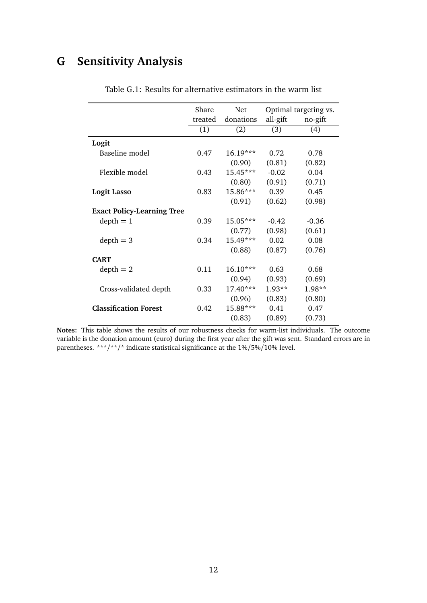# <span id="page-50-1"></span><span id="page-50-0"></span>**G Sensitivity Analysis**

|                                   | Share   | Net        | Optimal targeting vs. |         |
|-----------------------------------|---------|------------|-----------------------|---------|
|                                   | treated | donations  | all-gift              | no-gift |
|                                   | (1)     | (2)        | (3)                   | (4)     |
| Logit                             |         |            |                       |         |
| Baseline model                    | 0.47    | $16.19***$ | 0.72                  | 0.78    |
|                                   |         | (0.90)     | (0.81)                | (0.82)  |
| Flexible model                    | 0.43    | 15.45***   | $-0.02$               | 0.04    |
|                                   |         | (0.80)     | (0.91)                | (0.71)  |
| <b>Logit Lasso</b>                | 0.83    | 15.86***   | 0.39                  | 0.45    |
|                                   |         | (0.91)     | (0.62)                | (0.98)  |
| <b>Exact Policy-Learning Tree</b> |         |            |                       |         |
| $depth = 1$                       | 0.39    | $15.05***$ | $-0.42$               | $-0.36$ |
|                                   |         | (0.77)     | (0.98)                | (0.61)  |
| $depth = 3$                       | 0.34    | 15.49***   | 0.02                  | 0.08    |
|                                   |         | (0.88)     | (0.87)                | (0.76)  |
| <b>CART</b>                       |         |            |                       |         |
| $depth = 2$                       | 0.11    | $16.10***$ | 0.63                  | 0.68    |
|                                   |         | (0.94)     | (0.93)                | (0.69)  |
| Cross-validated depth             | 0.33    | 17.40***   | $1.93**$              | 1.98**  |
|                                   |         | (0.96)     | (0.83)                | (0.80)  |
| <b>Classification Forest</b>      | 0.42    | 15.88***   | 0.41<br>0.47          |         |
|                                   |         | (0.83)     | (0.89)                | (0.73)  |

Table G.1: Results for alternative estimators in the warm list

**Notes:** This table shows the results of our robustness checks for warm-list individuals. The outcome variable is the donation amount (euro) during the first year after the gift was sent. Standard errors are in parentheses. \*\*\*/\*\*/\* indicate statistical significance at the  $1\%/5\%/10\%$  level.